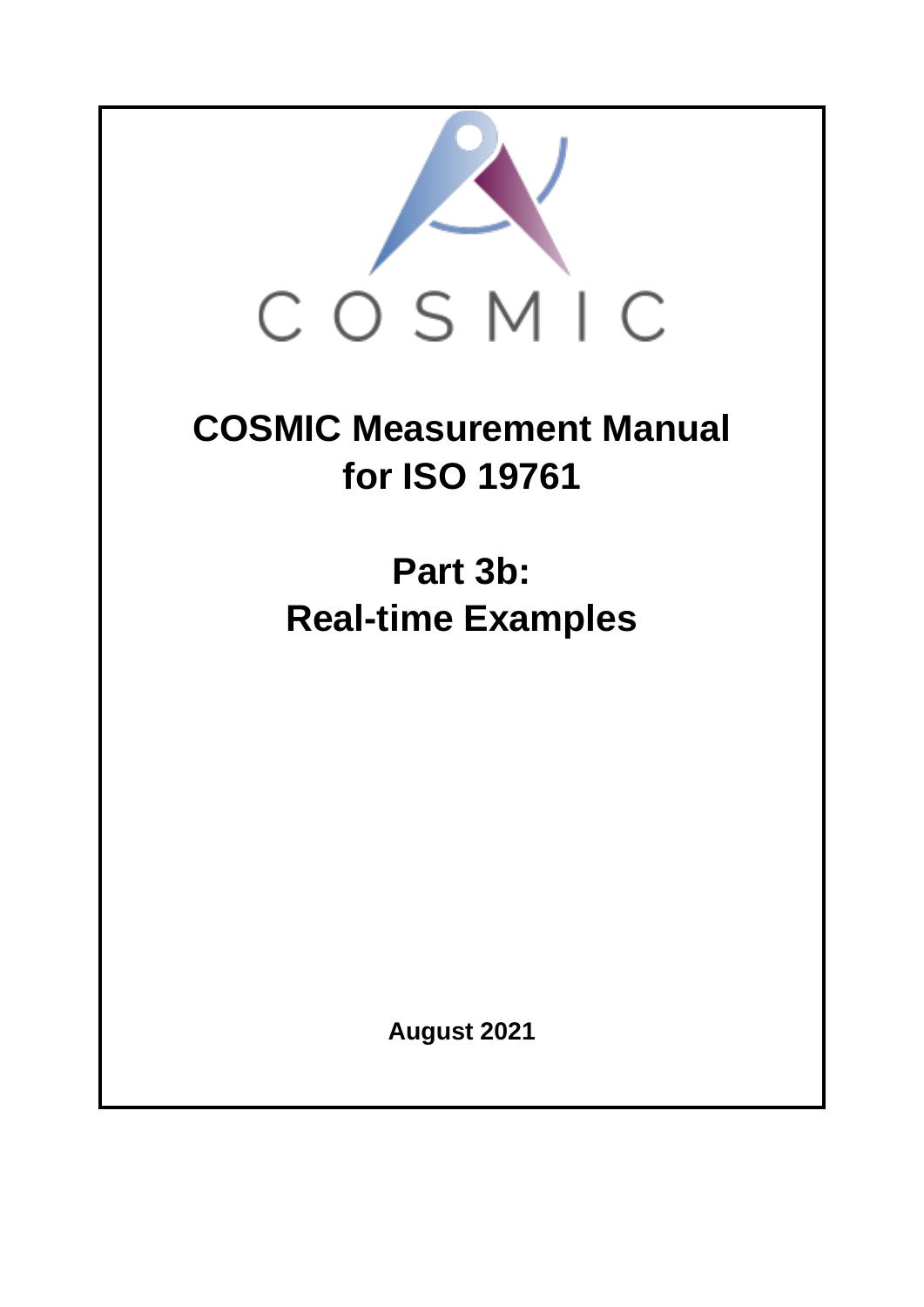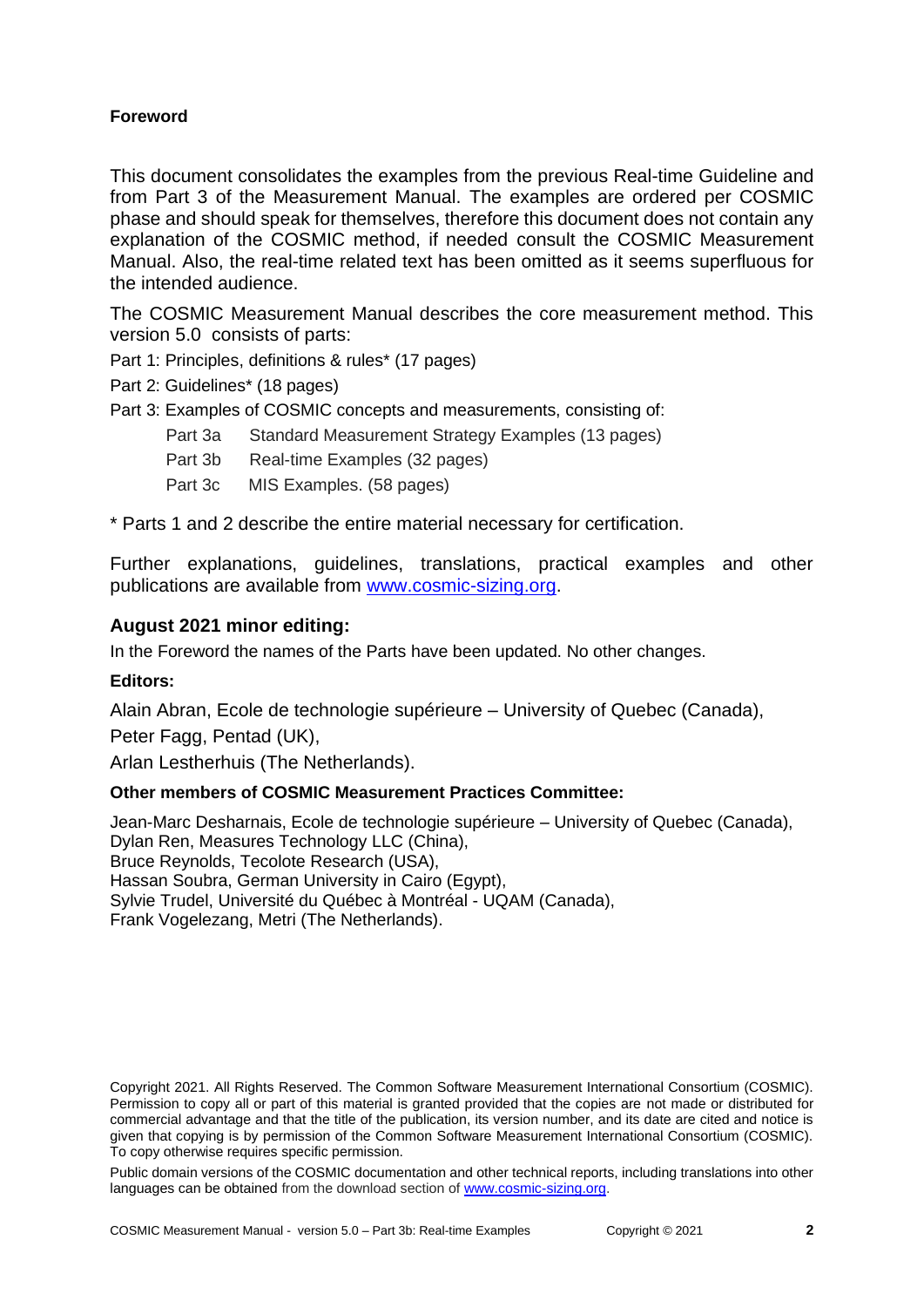#### **Foreword**

This document consolidates the examples from the previous Real-time Guideline and from Part 3 of the Measurement Manual. The examples are ordered per COSMIC phase and should speak for themselves, therefore this document does not contain any explanation of the COSMIC method, if needed consult the COSMIC Measurement Manual. Also, the real-time related text has been omitted as it seems superfluous for the intended audience.

The COSMIC Measurement Manual describes the core measurement method. This version 5.0 consists of parts:

Part 1: Principles, definitions & rules\* (17 pages)

Part 2: Guidelines\* (18 pages)

Part 3: Examples of COSMIC concepts and measurements, consisting of:

- Part 3a Standard Measurement Strategy Examples (13 pages)
- Part 3b Real-time Examples (32 pages)
- Part 3c MIS Examples. (58 pages)

\* Parts 1 and 2 describe the entire material necessary for certification.

Further explanations, guidelines, translations, practical examples and other publications are available from [www.cosmic-sizing.org.](http://www.cosmic-sizing.org/)

#### **August 2021 minor editing:**

In the Foreword the names of the Parts have been updated. No other changes.

#### **Editors:**

Alain Abran, Ecole de technologie supérieure – University of Quebec (Canada), Peter Fagg, Pentad (UK),

Arlan Lestherhuis (The Netherlands).

#### **Other members of COSMIC Measurement Practices Committee:**

Jean-Marc Desharnais, Ecole de technologie supérieure – University of Quebec (Canada), Dylan Ren, Measures Technology LLC (China), Bruce Reynolds, Tecolote Research (USA), Hassan Soubra, German University in Cairo (Egypt), Sylvie Trudel, Université du Québec à Montréal - UQAM (Canada), Frank Vogelezang, Metri (The Netherlands).

Public domain versions of the COSMIC documentation and other technical reports, including translations into other languages can be obtained from the download section of [www.cosmic-sizing.org.](http://www.cosmic-sizing.org/)

Copyright 2021. All Rights Reserved. The Common Software Measurement International Consortium (COSMIC). Permission to copy all or part of this material is granted provided that the copies are not made or distributed for commercial advantage and that the title of the publication, its version number, and its date are cited and notice is given that copying is by permission of the Common Software Measurement International Consortium (COSMIC). To copy otherwise requires specific permission.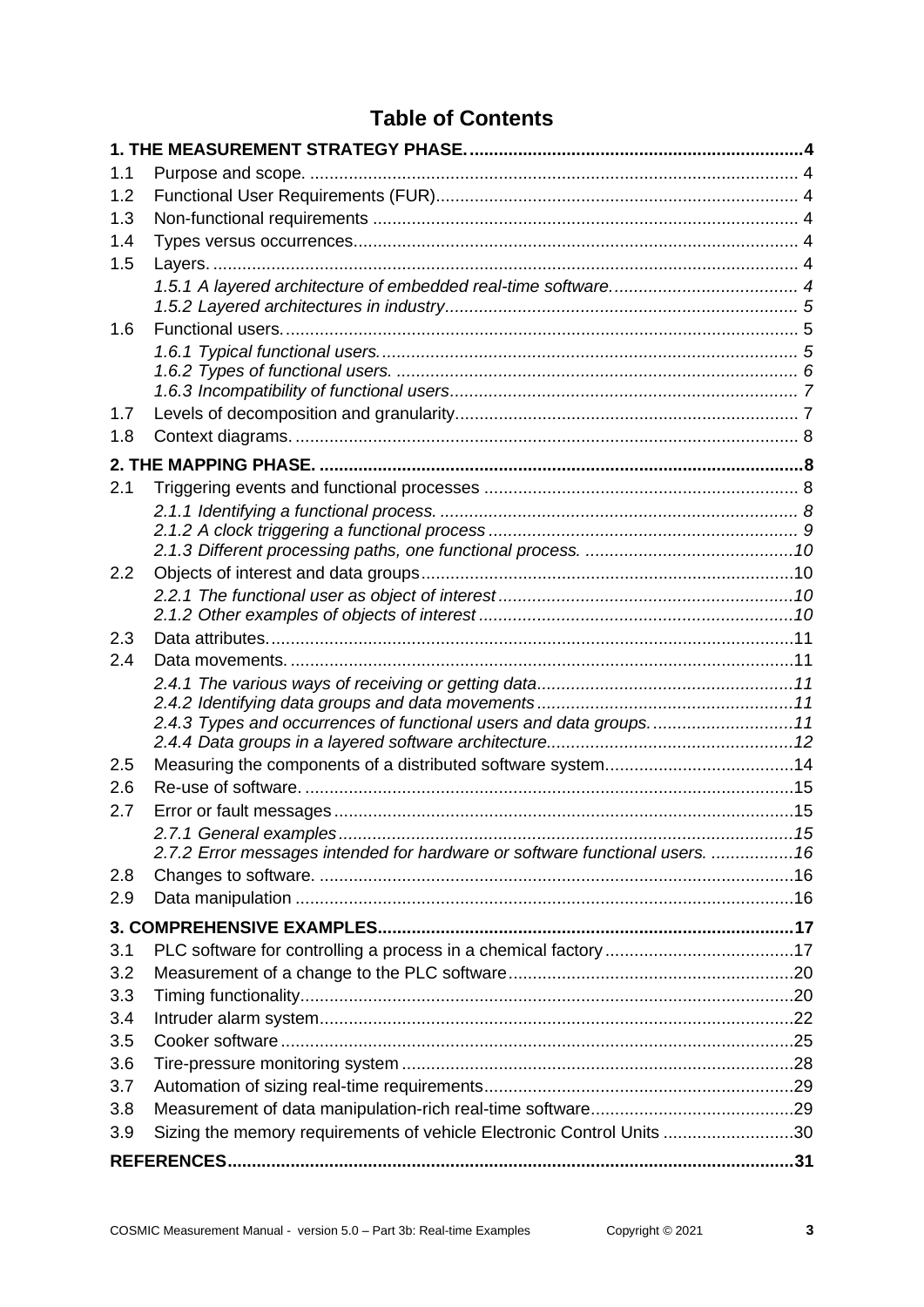# **Table of Contents**

| 1.1        |                                                                                                        |  |
|------------|--------------------------------------------------------------------------------------------------------|--|
| 1.2        |                                                                                                        |  |
| 1.3        |                                                                                                        |  |
| 1.4        |                                                                                                        |  |
| 1.5        |                                                                                                        |  |
|            |                                                                                                        |  |
|            |                                                                                                        |  |
| 1.6        |                                                                                                        |  |
|            |                                                                                                        |  |
|            |                                                                                                        |  |
|            |                                                                                                        |  |
| 1.7        |                                                                                                        |  |
| 1.8        |                                                                                                        |  |
|            |                                                                                                        |  |
| 2.1        |                                                                                                        |  |
|            |                                                                                                        |  |
|            |                                                                                                        |  |
| 2.2        |                                                                                                        |  |
|            |                                                                                                        |  |
|            |                                                                                                        |  |
| 2.3        |                                                                                                        |  |
| 2.4        |                                                                                                        |  |
|            |                                                                                                        |  |
|            |                                                                                                        |  |
|            | 2.4.3 Types and occurrences of functional users and data groups11                                      |  |
|            |                                                                                                        |  |
| 2.5        |                                                                                                        |  |
| 2.6        |                                                                                                        |  |
| 2.7        |                                                                                                        |  |
|            | 2.7.1 General examples<br>2.7.2 Error messages intended for hardware or software functional users.  16 |  |
| 2.8        |                                                                                                        |  |
| 2.9        |                                                                                                        |  |
|            |                                                                                                        |  |
|            |                                                                                                        |  |
| 3.1<br>3.2 |                                                                                                        |  |
| 3.3        |                                                                                                        |  |
| 3.4        |                                                                                                        |  |
| 3.5        |                                                                                                        |  |
| 3.6        |                                                                                                        |  |
| 3.7        |                                                                                                        |  |
| 3.8        |                                                                                                        |  |
| 3.9        | Sizing the memory requirements of vehicle Electronic Control Units 30                                  |  |
|            |                                                                                                        |  |
|            |                                                                                                        |  |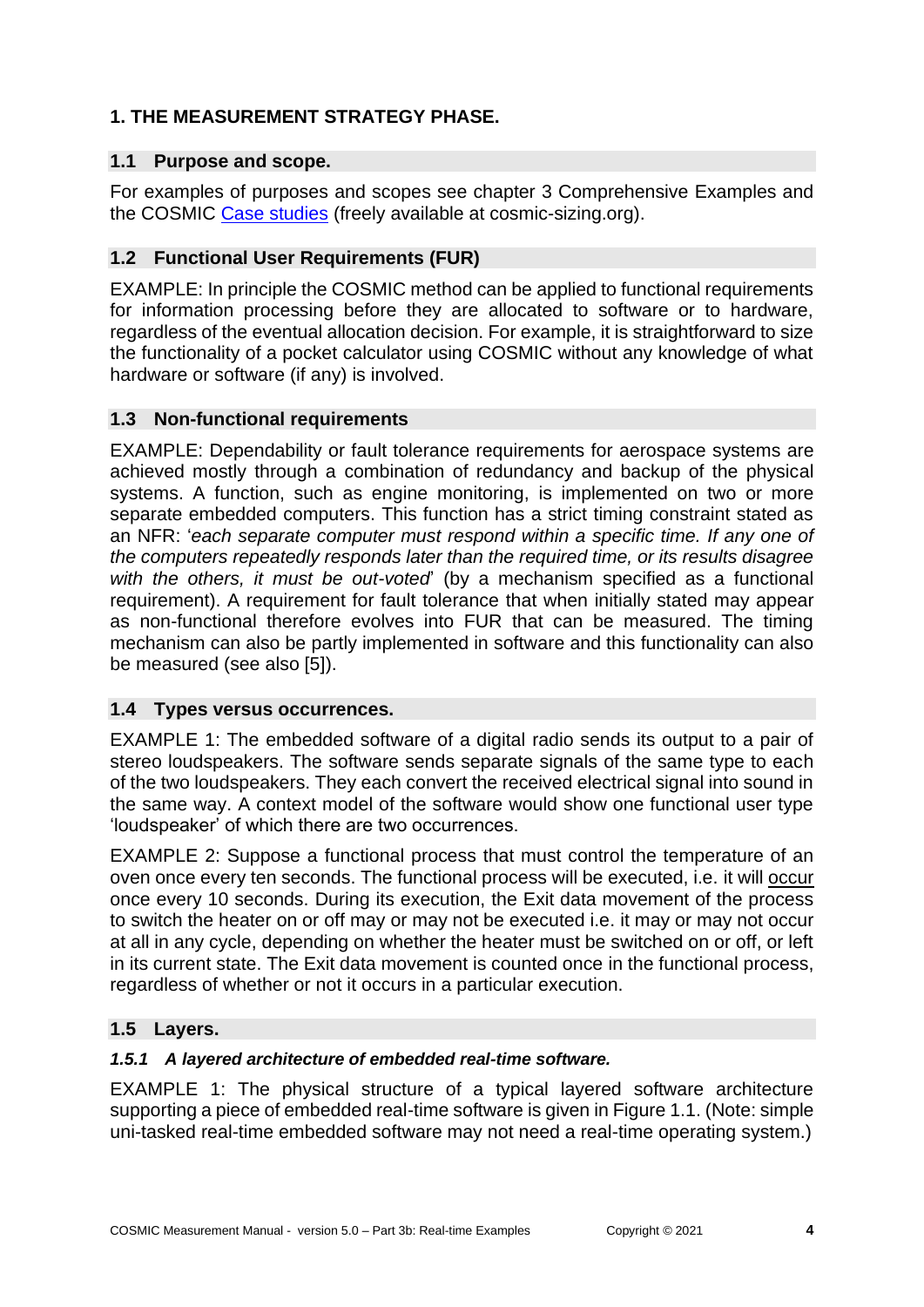# <span id="page-3-0"></span>**1. THE MEASUREMENT STRATEGY PHASE.**

## <span id="page-3-1"></span>**1.1 Purpose and scope.**

For examples of purposes and scopes see chapter 3 Comprehensive Examples and the COSMIC [Case studies](https://cosmic-sizing.org/publication-cat/case-studies/) (freely available at cosmic-sizing.org).

# <span id="page-3-2"></span>**1.2 Functional User Requirements (FUR)**

EXAMPLE: In principle the COSMIC method can be applied to functional requirements for information processing before they are allocated to software or to hardware, regardless of the eventual allocation decision. For example, it is straightforward to size the functionality of a pocket calculator using COSMIC without any knowledge of what hardware or software (if any) is involved.

# <span id="page-3-3"></span>**1.3 Non-functional requirements**

EXAMPLE: Dependability or fault tolerance requirements for aerospace systems are achieved mostly through a combination of redundancy and backup of the physical systems. A function, such as engine monitoring, is implemented on two or more separate embedded computers. This function has a strict timing constraint stated as an NFR: '*each separate computer must respond within a specific time. If any one of the computers repeatedly responds later than the required time, or its results disagree with the others, it must be out-voted*' (by a mechanism specified as a functional requirement). A requirement for fault tolerance that when initially stated may appear as non-functional therefore evolves into FUR that can be measured. The timing mechanism can also be partly implemented in software and this functionality can also be measured (see also [5]).

# <span id="page-3-4"></span>**1.4 Types versus occurrences.**

EXAMPLE 1: The embedded software of a digital radio sends its output to a pair of stereo loudspeakers. The software sends separate signals of the same type to each of the two loudspeakers. They each convert the received electrical signal into sound in the same way. A context model of the software would show one functional user type 'loudspeaker' of which there are two occurrences.

EXAMPLE 2: Suppose a functional process that must control the temperature of an oven once every ten seconds. The functional process will be executed, i.e. it will occur once every 10 seconds. During its execution, the Exit data movement of the process to switch the heater on or off may or may not be executed i.e. it may or may not occur at all in any cycle, depending on whether the heater must be switched on or off, or left in its current state. The Exit data movement is counted once in the functional process, regardless of whether or not it occurs in a particular execution.

# <span id="page-3-5"></span>**1.5 Layers.**

# <span id="page-3-6"></span>*1.5.1 A layered architecture of embedded real-time software.*

EXAMPLE 1: The physical structure of a typical layered software architecture supporting a piece of embedded real-time software is given in Figure 1.1. (Note: simple uni-tasked real-time embedded software may not need a real-time operating system.)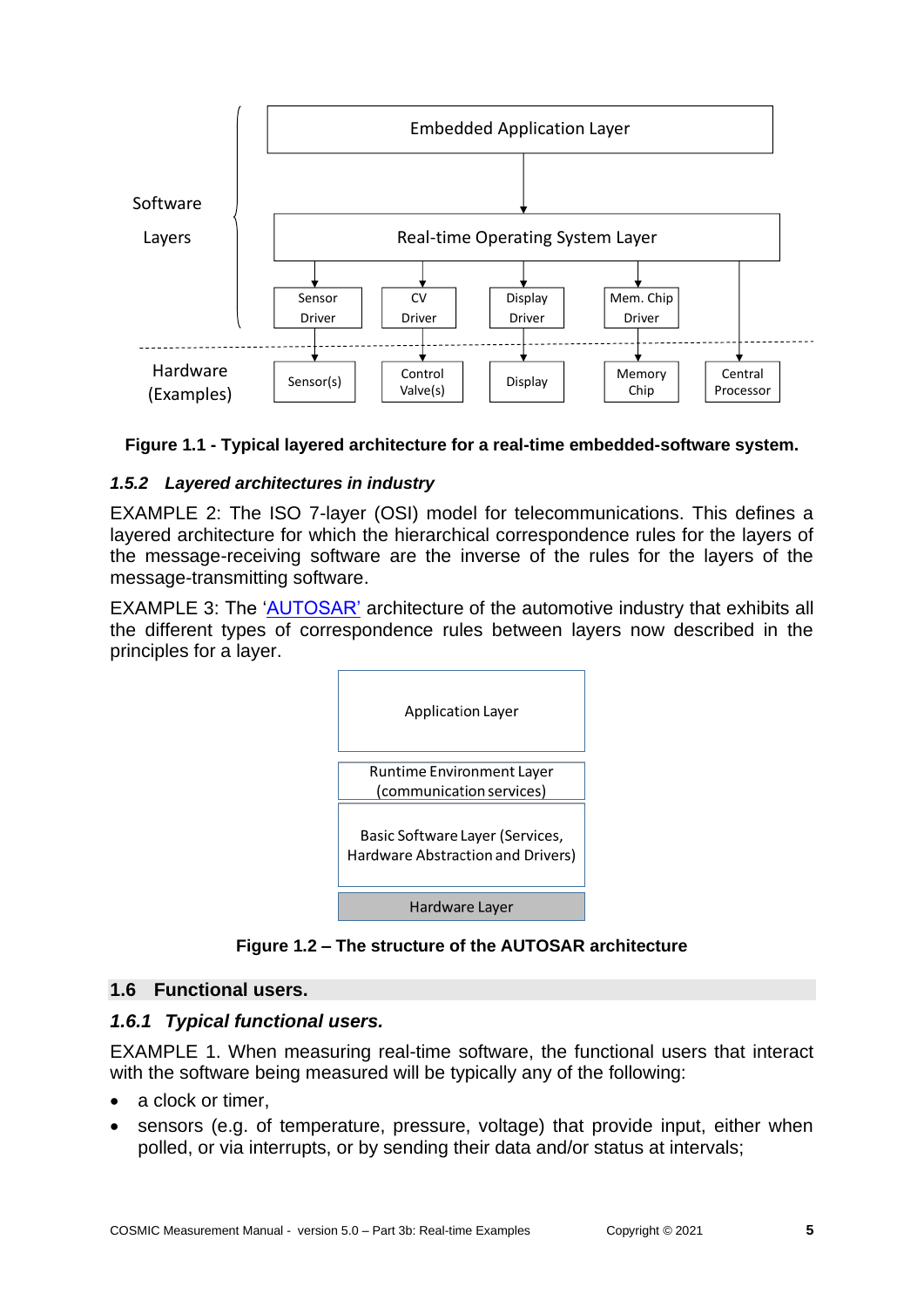



#### <span id="page-4-0"></span>*1.5.2 Layered architectures in industry*

EXAMPLE 2: The ISO 7-layer (OSI) model for telecommunications. This defines a layered architecture for which the hierarchical correspondence rules for the layers of the message-receiving software are the inverse of the rules for the layers of the message-transmitting software.

EXAMPLE 3: The ['AUTOSAR'](http://www.wikipedia.org/wiki/AUTOSAR) architecture of the automotive industry that exhibits all the different types of correspondence rules between layers now described in the principles for a layer.



**Figure 1.2 – The structure of the AUTOSAR architecture**

#### <span id="page-4-1"></span>**1.6 Functional users.**

#### <span id="page-4-2"></span>*1.6.1 Typical functional users.*

EXAMPLE 1. When measuring real-time software, the functional users that interact with the software being measured will be typically any of the following:

- a clock or timer,
- sensors (e.g. of temperature, pressure, voltage) that provide input, either when polled, or via interrupts, or by sending their data and/or status at intervals;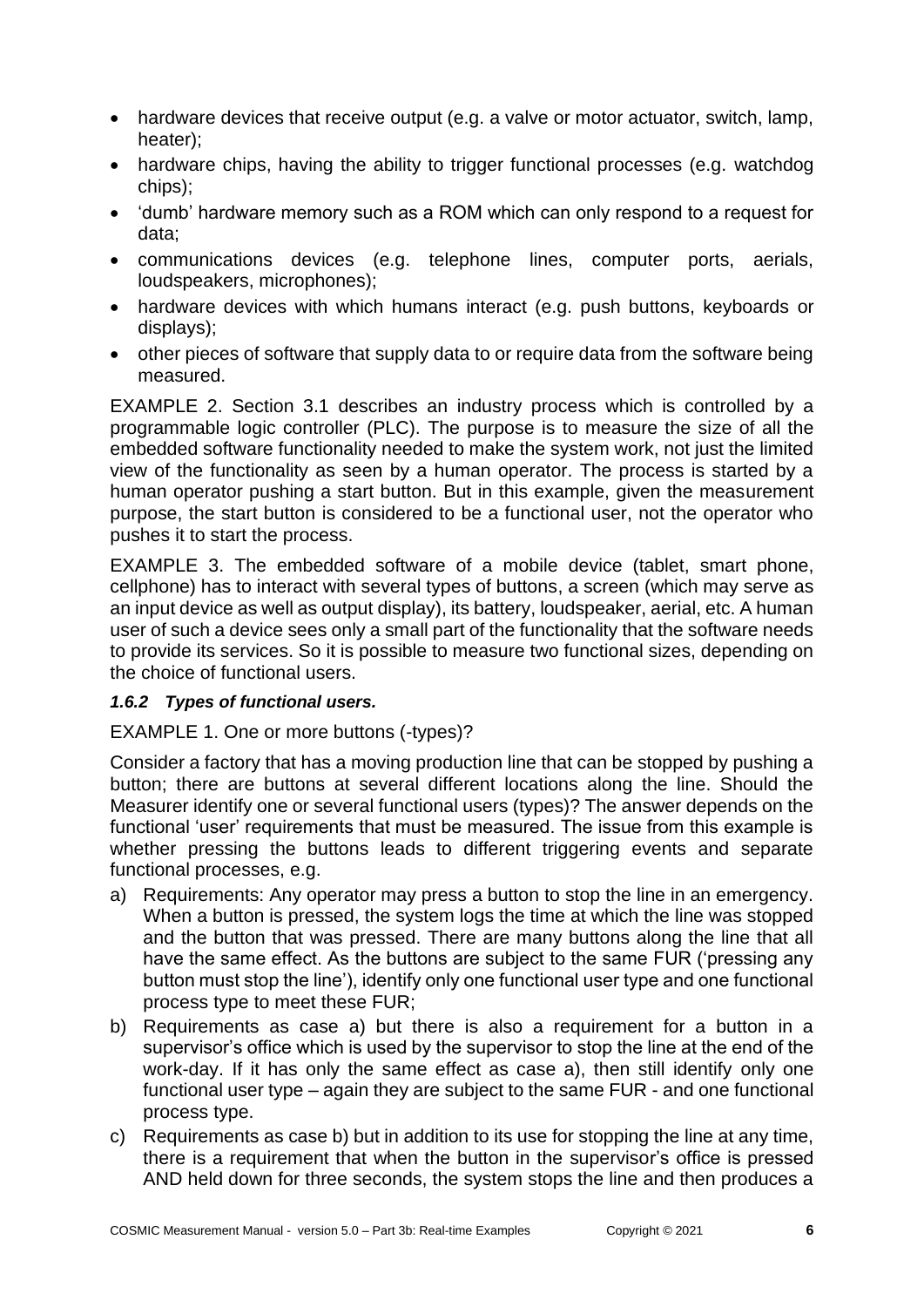- hardware devices that receive output (e.g. a valve or motor actuator, switch, lamp, heater);
- hardware chips, having the ability to trigger functional processes (e.g. watchdog chips);
- 'dumb' hardware memory such as a ROM which can only respond to a request for data;
- communications devices (e.g. telephone lines, computer ports, aerials, loudspeakers, microphones);
- hardware devices with which humans interact (e.g. push buttons, keyboards or displays);
- other pieces of software that supply data to or require data from the software being measured.

EXAMPLE 2. Section 3.1 describes an industry process which is controlled by a programmable logic controller (PLC). The purpose is to measure the size of all the embedded software functionality needed to make the system work, not just the limited view of the functionality as seen by a human operator. The process is started by a human operator pushing a start button. But in this example, given the measurement purpose, the start button is considered to be a functional user, not the operator who pushes it to start the process.

EXAMPLE 3. The embedded software of a mobile device (tablet, smart phone, cellphone) has to interact with several types of buttons, a screen (which may serve as an input device as well as output display), its battery, loudspeaker, aerial, etc. A human user of such a device sees only a small part of the functionality that the software needs to provide its services. So it is possible to measure two functional sizes, depending on the choice of functional users.

#### <span id="page-5-0"></span>*1.6.2 Types of functional users.*

# EXAMPLE 1. One or more buttons (-types)?

Consider a factory that has a moving production line that can be stopped by pushing a button; there are buttons at several different locations along the line. Should the Measurer identify one or several functional users (types)? The answer depends on the functional 'user' requirements that must be measured. The issue from this example is whether pressing the buttons leads to different triggering events and separate functional processes, e.g.

- a) Requirements: Any operator may press a button to stop the line in an emergency. When a button is pressed, the system logs the time at which the line was stopped and the button that was pressed. There are many buttons along the line that all have the same effect. As the buttons are subject to the same FUR ('pressing any button must stop the line'), identify only one functional user type and one functional process type to meet these FUR;
- b) Requirements as case a) but there is also a requirement for a button in a supervisor's office which is used by the supervisor to stop the line at the end of the work-day. If it has only the same effect as case a), then still identify only one functional user type – again they are subject to the same FUR - and one functional process type.
- c) Requirements as case b) but in addition to its use for stopping the line at any time, there is a requirement that when the button in the supervisor's office is pressed AND held down for three seconds, the system stops the line and then produces a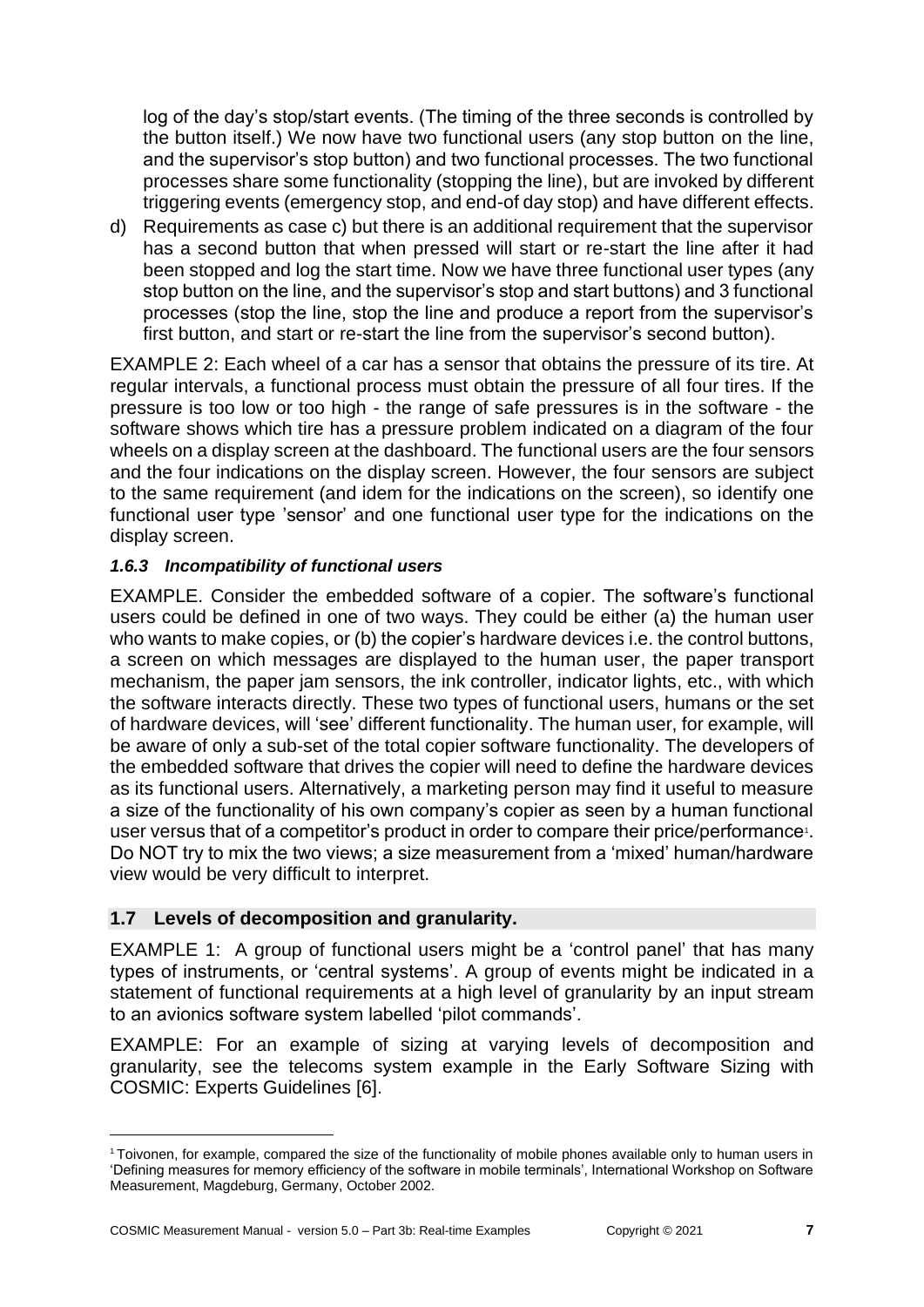log of the day's stop/start events. (The timing of the three seconds is controlled by the button itself.) We now have two functional users (any stop button on the line, and the supervisor's stop button) and two functional processes. The two functional processes share some functionality (stopping the line), but are invoked by different triggering events (emergency stop, and end-of day stop) and have different effects.

d) Requirements as case c) but there is an additional requirement that the supervisor has a second button that when pressed will start or re-start the line after it had been stopped and log the start time. Now we have three functional user types (any stop button on the line, and the supervisor's stop and start buttons) and 3 functional processes (stop the line, stop the line and produce a report from the supervisor's first button, and start or re-start the line from the supervisor's second button).

EXAMPLE 2: Each wheel of a car has a sensor that obtains the pressure of its tire. At regular intervals, a functional process must obtain the pressure of all four tires. If the pressure is too low or too high - the range of safe pressures is in the software - the software shows which tire has a pressure problem indicated on a diagram of the four wheels on a display screen at the dashboard. The functional users are the four sensors and the four indications on the display screen. However, the four sensors are subject to the same requirement (and idem for the indications on the screen), so identify one functional user type 'sensor' and one functional user type for the indications on the display screen.

### <span id="page-6-0"></span>*1.6.3 Incompatibility of functional users*

EXAMPLE. Consider the embedded software of a copier. The software's functional users could be defined in one of two ways. They could be either (a) the human user who wants to make copies, or (b) the copier's hardware devices i.e. the control buttons, a screen on which messages are displayed to the human user, the paper transport mechanism, the paper jam sensors, the ink controller, indicator lights, etc., with which the software interacts directly. These two types of functional users, humans or the set of hardware devices, will 'see' different functionality. The human user, for example, will be aware of only a sub-set of the total copier software functionality. The developers of the embedded software that drives the copier will need to define the hardware devices as its functional users. Alternatively, a marketing person may find it useful to measure a size of the functionality of his own company's copier as seen by a human functional user versus that of a competitor's product in order to compare their price/performance<sup>1</sup>. Do NOT try to mix the two views; a size measurement from a 'mixed' human/hardware view would be very difficult to interpret.

# <span id="page-6-1"></span>**1.7 Levels of decomposition and granularity.**

EXAMPLE 1: A group of functional users might be a 'control panel' that has many types of instruments, or 'central systems'. A group of events might be indicated in a statement of functional requirements at a high level of granularity by an input stream to an avionics software system labelled 'pilot commands'.

EXAMPLE: For an example of sizing at varying levels of decomposition and granularity, see the telecoms system example in the Early Software Sizing with COSMIC: Experts Guidelines [6].

<sup>1</sup> Toivonen, for example, compared the size of the functionality of mobile phones available only to human users in 'Defining measures for memory efficiency of the software in mobile terminals', International Workshop on Software Measurement, Magdeburg, Germany, October 2002.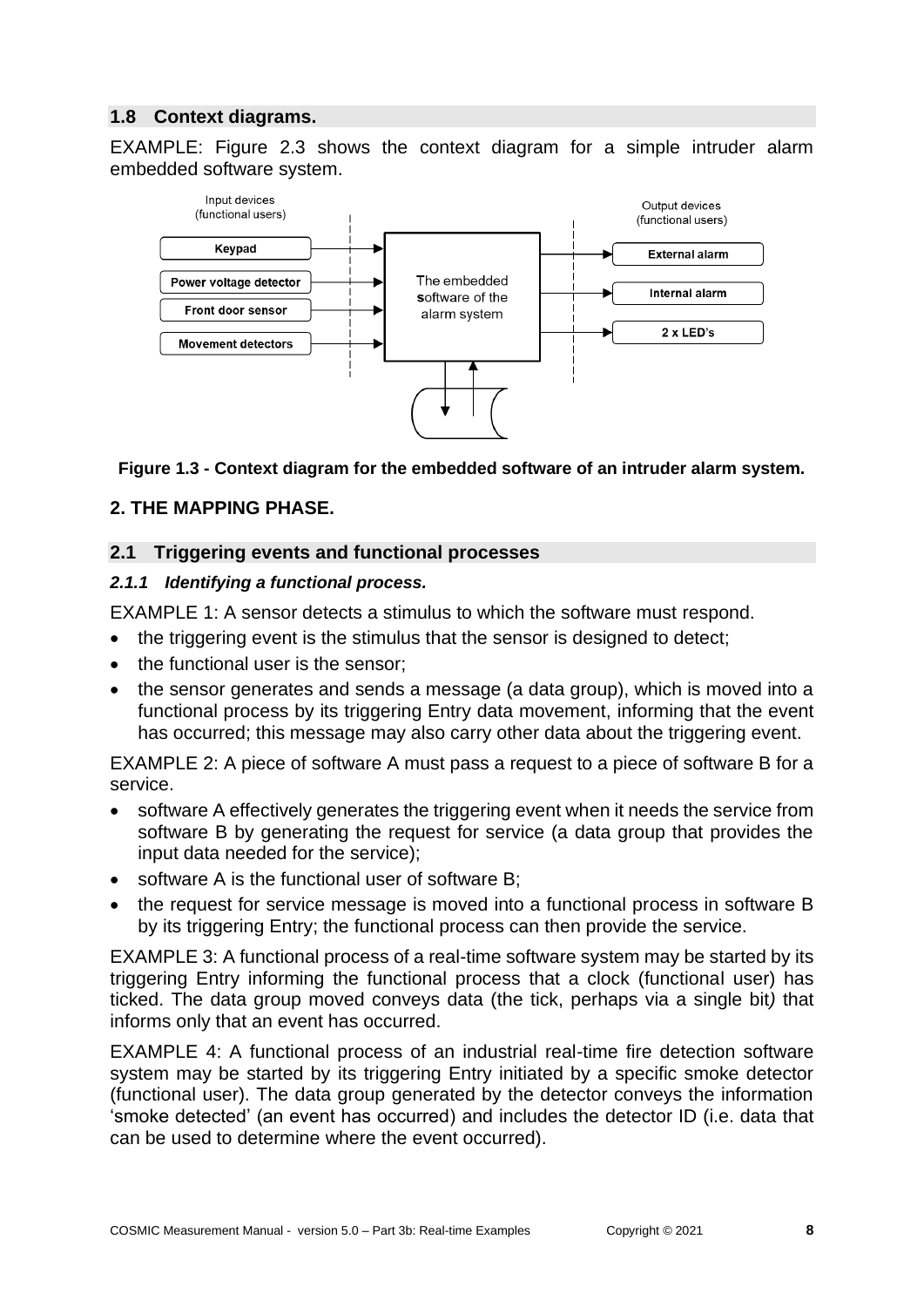### <span id="page-7-0"></span>**1.8 Context diagrams.**

EXAMPLE: Figure 2.3 shows the context diagram for a simple intruder alarm embedded software system.



#### **Figure 1.3 - Context diagram for the embedded software of an intruder alarm system.**

#### <span id="page-7-1"></span>**2. THE MAPPING PHASE.**

#### <span id="page-7-2"></span>**2.1 Triggering events and functional processes**

#### <span id="page-7-3"></span>*2.1.1 Identifying a functional process.*

EXAMPLE 1: A sensor detects a stimulus to which the software must respond.

- the triggering event is the stimulus that the sensor is designed to detect;
- the functional user is the sensor:
- the sensor generates and sends a message (a data group), which is moved into a functional process by its triggering Entry data movement, informing that the event has occurred; this message may also carry other data about the triggering event.

EXAMPLE 2: A piece of software A must pass a request to a piece of software B for a service.

- software A effectively generates the triggering event when it needs the service from software B by generating the request for service (a data group that provides the input data needed for the service);
- software A is the functional user of software B:
- the request for service message is moved into a functional process in software B by its triggering Entry; the functional process can then provide the service.

EXAMPLE 3: A functional process of a real-time software system may be started by its triggering Entry informing the functional process that a clock (functional user) has ticked. The data group moved conveys data (the tick, perhaps via a single bit*)* that informs only that an event has occurred.

EXAMPLE 4: A functional process of an industrial real-time fire detection software system may be started by its triggering Entry initiated by a specific smoke detector (functional user). The data group generated by the detector conveys the information 'smoke detected' (an event has occurred) and includes the detector ID (i.e. data that can be used to determine where the event occurred).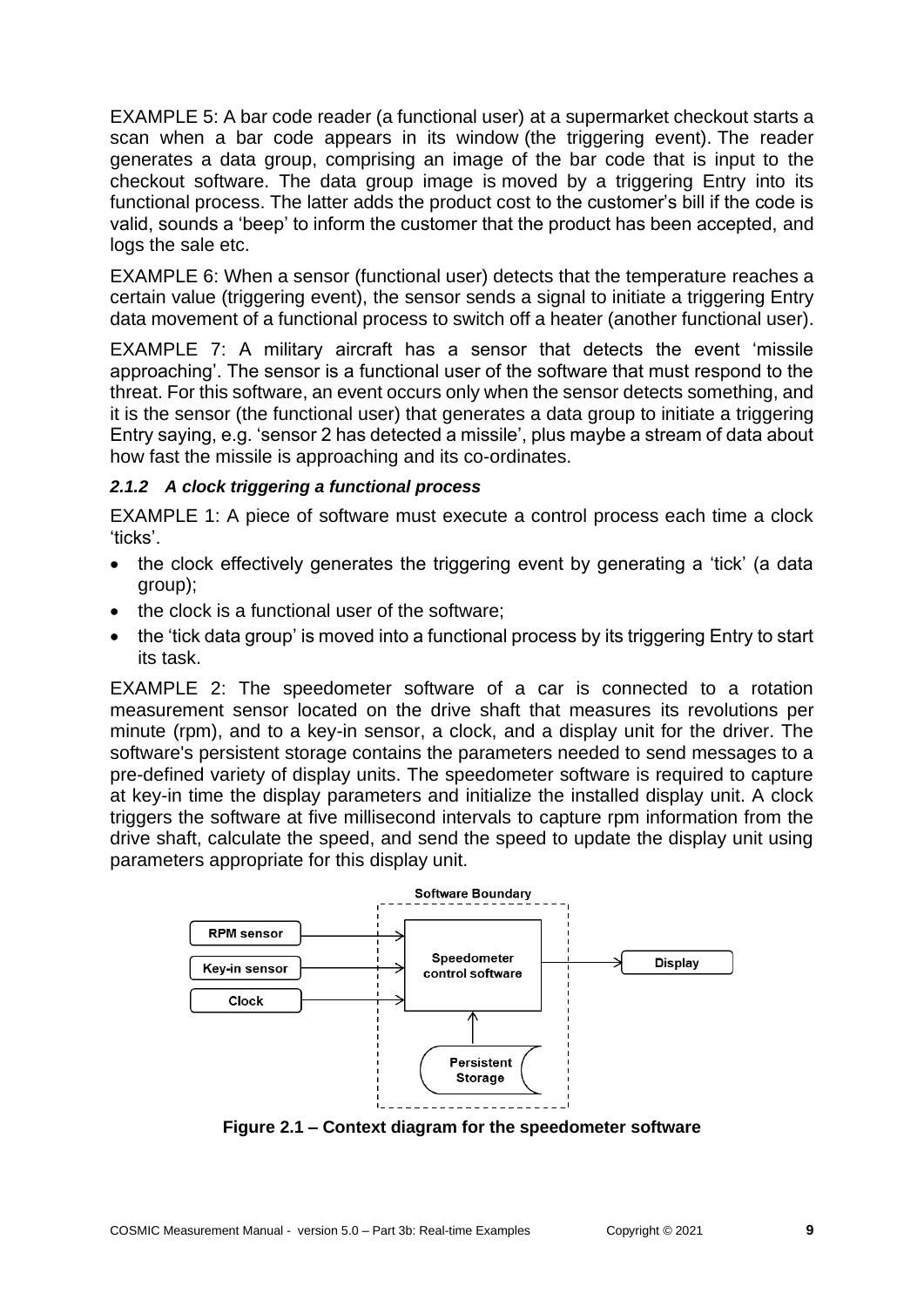EXAMPLE 5: A bar code reader (a functional user) at a supermarket checkout starts a scan when a bar code appears in its window (the triggering event). The reader generates a data group, comprising an image of the bar code that is input to the checkout software. The data group image is moved by a triggering Entry into its functional process. The latter adds the product cost to the customer's bill if the code is valid, sounds a 'beep' to inform the customer that the product has been accepted, and logs the sale etc.

EXAMPLE 6: When a sensor (functional user) detects that the temperature reaches a certain value (triggering event), the sensor sends a signal to initiate a triggering Entry data movement of a functional process to switch off a heater (another functional user).

EXAMPLE 7: A military aircraft has a sensor that detects the event 'missile approaching'. The sensor is a functional user of the software that must respond to the threat. For this software, an event occurs only when the sensor detects something, and it is the sensor (the functional user) that generates a data group to initiate a triggering Entry saying, e.g. 'sensor 2 has detected a missile', plus maybe a stream of data about how fast the missile is approaching and its co-ordinates.

#### <span id="page-8-0"></span>*2.1.2 A clock triggering a functional process*

EXAMPLE 1: A piece of software must execute a control process each time a clock 'ticks'.

- the clock effectively generates the triggering event by generating a 'tick' (a data group);
- the clock is a functional user of the software;
- the 'tick data group' is moved into a functional process by its triggering Entry to start its task.

EXAMPLE 2: The speedometer software of a car is connected to a rotation measurement sensor located on the drive shaft that measures its revolutions per minute (rpm), and to a key-in sensor, a clock, and a display unit for the driver. The software's persistent storage contains the parameters needed to send messages to a pre-defined variety of display units. The speedometer software is required to capture at key-in time the display parameters and initialize the installed display unit. A clock triggers the software at five millisecond intervals to capture rpm information from the drive shaft, calculate the speed, and send the speed to update the display unit using parameters appropriate for this display unit.



**Figure 2.1 – Context diagram for the speedometer software**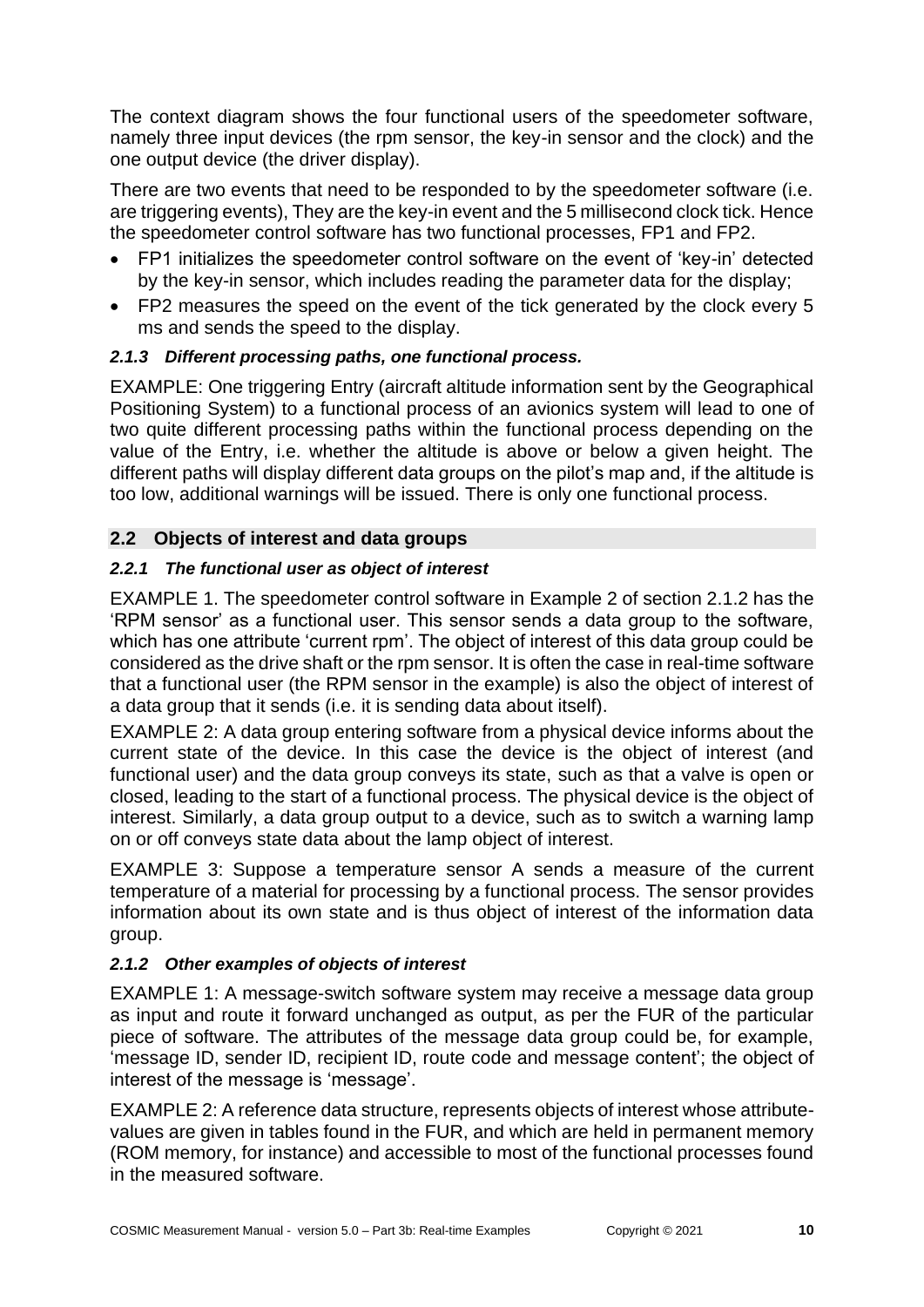The context diagram shows the four functional users of the speedometer software, namely three input devices (the rpm sensor, the key-in sensor and the clock) and the one output device (the driver display).

There are two events that need to be responded to by the speedometer software (i.e. are triggering events), They are the key-in event and the 5 millisecond clock tick. Hence the speedometer control software has two functional processes, FP1 and FP2.

- FP1 initializes the speedometer control software on the event of 'key-in' detected by the key-in sensor, which includes reading the parameter data for the display;
- FP2 measures the speed on the event of the tick generated by the clock every 5 ms and sends the speed to the display.

# <span id="page-9-0"></span>*2.1.3 Different processing paths, one functional process.*

EXAMPLE: One triggering Entry (aircraft altitude information sent by the Geographical Positioning System) to a functional process of an avionics system will lead to one of two quite different processing paths within the functional process depending on the value of the Entry, i.e. whether the altitude is above or below a given height. The different paths will display different data groups on the pilot's map and, if the altitude is too low, additional warnings will be issued. There is only one functional process.

# <span id="page-9-1"></span>**2.2 Objects of interest and data groups**

# <span id="page-9-2"></span>*2.2.1 The functional user as object of interest*

EXAMPLE 1. The speedometer control software in Example 2 of section 2.1.2 has the 'RPM sensor' as a functional user. This sensor sends a data group to the software, which has one attribute 'current rpm'. The object of interest of this data group could be considered as the drive shaft or the rpm sensor. It is often the case in real-time software that a functional user (the RPM sensor in the example) is also the object of interest of a data group that it sends (i.e. it is sending data about itself).

EXAMPLE 2: A data group entering software from a physical device informs about the current state of the device. In this case the device is the object of interest (and functional user) and the data group conveys its state, such as that a valve is open or closed, leading to the start of a functional process. The physical device is the object of interest. Similarly, a data group output to a device, such as to switch a warning lamp on or off conveys state data about the lamp object of interest.

EXAMPLE 3: Suppose a temperature sensor A sends a measure of the current temperature of a material for processing by a functional process. The sensor provides information about its own state and is thus object of interest of the information data group.

# <span id="page-9-3"></span>*2.1.2 Other examples of objects of interest*

EXAMPLE 1: A message-switch software system may receive a message data group as input and route it forward unchanged as output, as per the FUR of the particular piece of software. The attributes of the message data group could be, for example, 'message ID, sender ID, recipient ID, route code and message content'; the object of interest of the message is 'message'.

EXAMPLE 2: A reference data structure, represents objects of interest whose attributevalues are given in tables found in the FUR, and which are held in permanent memory (ROM memory, for instance) and accessible to most of the functional processes found in the measured software.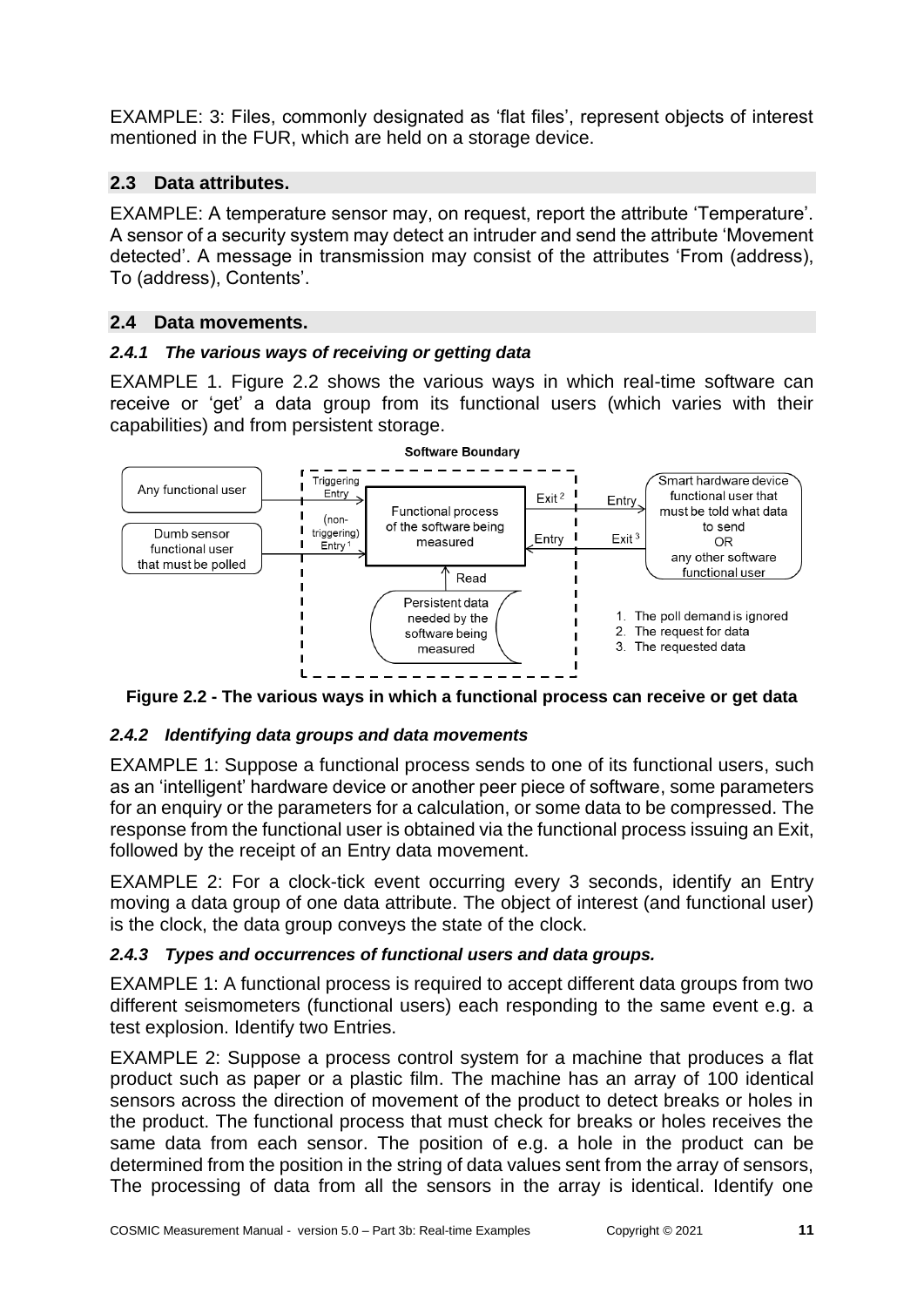EXAMPLE: 3: Files, commonly designated as 'flat files', represent objects of interest mentioned in the FUR, which are held on a storage device.

# <span id="page-10-0"></span>**2.3 Data attributes.**

EXAMPLE: A temperature sensor may, on request, report the attribute 'Temperature'. A sensor of a security system may detect an intruder and send the attribute 'Movement detected'. A message in transmission may consist of the attributes 'From (address), To (address), Contents'.

# <span id="page-10-1"></span>**2.4 Data movements.**

# <span id="page-10-2"></span>*2.4.1 The various ways of receiving or getting data*

EXAMPLE 1. Figure 2.2 shows the various ways in which real-time software can receive or 'get' a data group from its functional users (which varies with their capabilities) and from persistent storage.



**Figure 2.2 - The various ways in which a functional process can receive or get data**

# <span id="page-10-3"></span>*2.4.2 Identifying data groups and data movements*

EXAMPLE 1: Suppose a functional process sends to one of its functional users, such as an 'intelligent' hardware device or another peer piece of software, some parameters for an enquiry or the parameters for a calculation, or some data to be compressed. The response from the functional user is obtained via the functional process issuing an Exit, followed by the receipt of an Entry data movement.

EXAMPLE 2: For a clock-tick event occurring every 3 seconds, identify an Entry moving a data group of one data attribute. The object of interest (and functional user) is the clock, the data group conveys the state of the clock.

# <span id="page-10-4"></span>*2.4.3 Types and occurrences of functional users and data groups.*

EXAMPLE 1: A functional process is required to accept different data groups from two different seismometers (functional users) each responding to the same event e.g. a test explosion. Identify two Entries.

EXAMPLE 2: Suppose a process control system for a machine that produces a flat product such as paper or a plastic film. The machine has an array of 100 identical sensors across the direction of movement of the product to detect breaks or holes in the product. The functional process that must check for breaks or holes receives the same data from each sensor. The position of e.g. a hole in the product can be determined from the position in the string of data values sent from the array of sensors, The processing of data from all the sensors in the array is identical. Identify one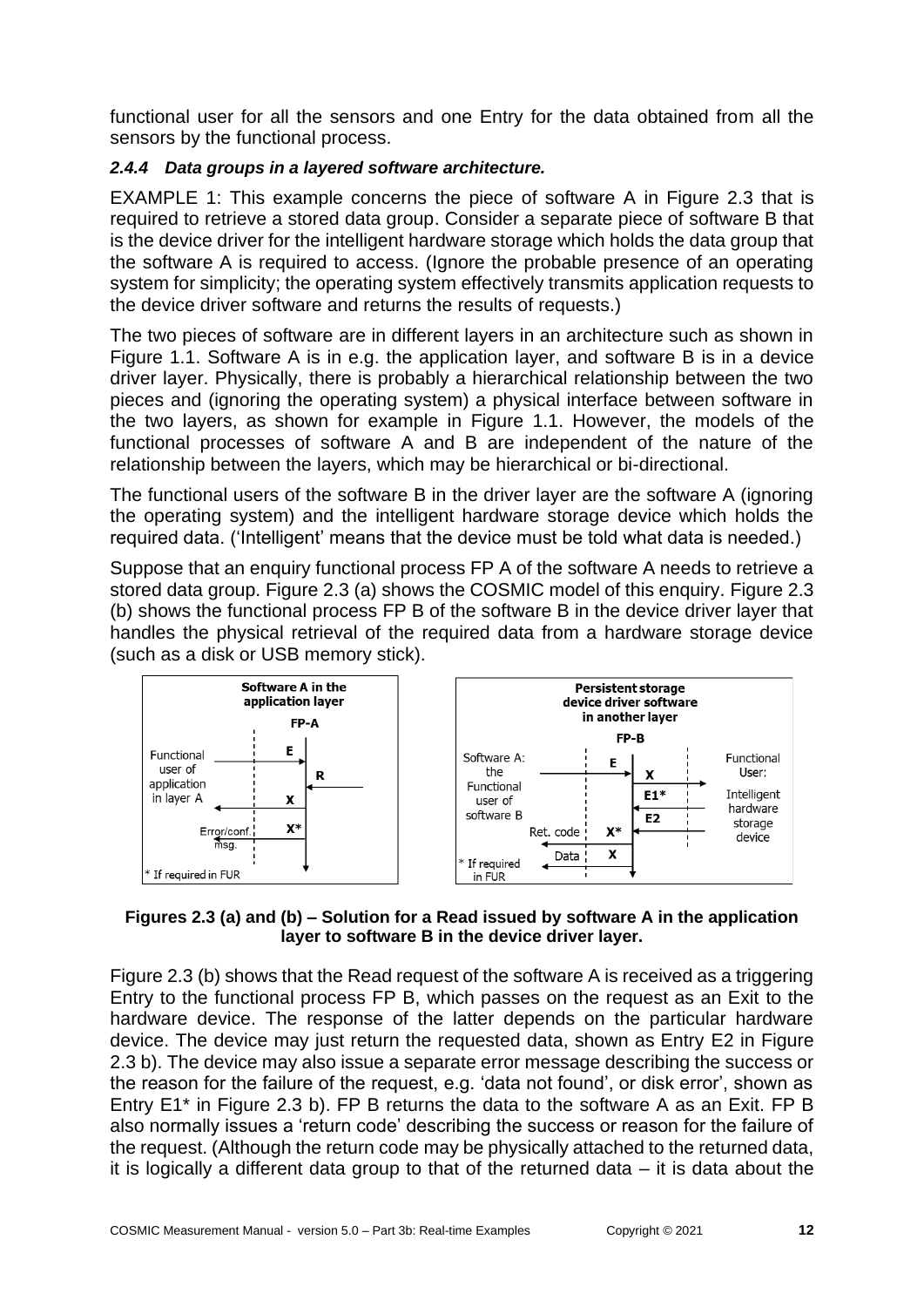functional user for all the sensors and one Entry for the data obtained from all the sensors by the functional process.

# <span id="page-11-0"></span>*2.4.4 Data groups in a layered software architecture.*

EXAMPLE 1: This example concerns the piece of software A in Figure 2.3 that is required to retrieve a stored data group. Consider a separate piece of software B that is the device driver for the intelligent hardware storage which holds the data group that the software A is required to access. (Ignore the probable presence of an operating system for simplicity; the operating system effectively transmits application requests to the device driver software and returns the results of requests.)

The two pieces of software are in different layers in an architecture such as shown in Figure 1.1. Software A is in e.g. the application layer, and software B is in a device driver layer. Physically, there is probably a hierarchical relationship between the two pieces and (ignoring the operating system) a physical interface between software in the two layers, as shown for example in Figure 1.1. However, the models of the functional processes of software A and B are independent of the nature of the relationship between the layers, which may be hierarchical or bi-directional.

The functional users of the software B in the driver layer are the software A (ignoring the operating system) and the intelligent hardware storage device which holds the required data. ('Intelligent' means that the device must be told what data is needed.)

Suppose that an enquiry functional process FP A of the software A needs to retrieve a stored data group. Figure 2.3 (a) shows the COSMIC model of this enquiry. Figure 2.3 (b) shows the functional process FP B of the software B in the device driver layer that handles the physical retrieval of the required data from a hardware storage device (such as a disk or USB memory stick).



#### **Figures 2.3 (a) and (b) – Solution for a Read issued by software A in the application layer to software B in the device driver layer.**

Figure 2.3 (b) shows that the Read request of the software A is received as a triggering Entry to the functional process FP B, which passes on the request as an Exit to the hardware device. The response of the latter depends on the particular hardware device. The device may just return the requested data, shown as Entry E2 in Figure 2.3 b). The device may also issue a separate error message describing the success or the reason for the failure of the request, e.g. 'data not found', or disk error', shown as Entry E1\* in Figure 2.3 b). FP B returns the data to the software A as an Exit. FP B also normally issues a 'return code' describing the success or reason for the failure of the request. (Although the return code may be physically attached to the returned data, it is logically a different data group to that of the returned data  $-$  it is data about the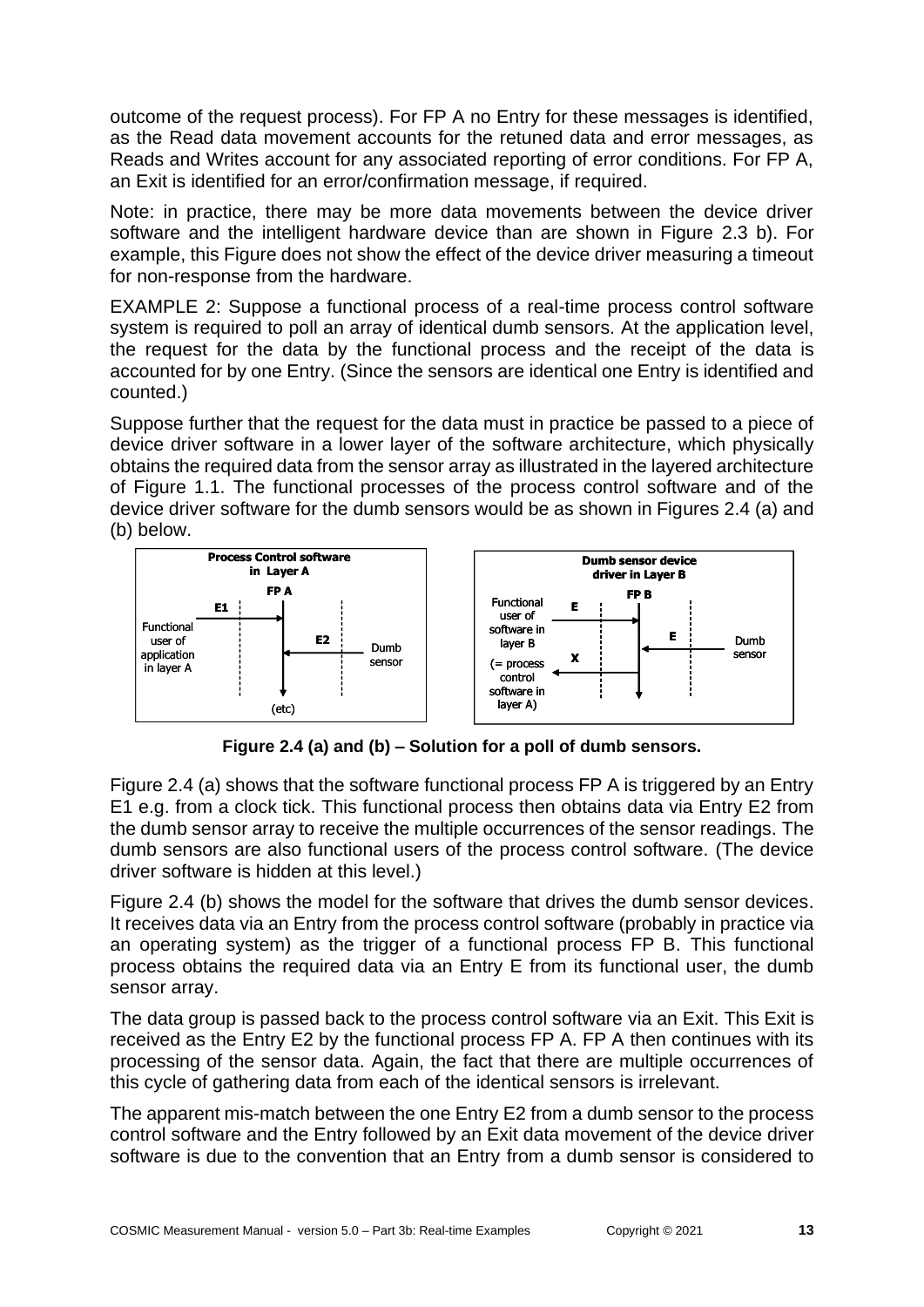outcome of the request process). For FP A no Entry for these messages is identified, as the Read data movement accounts for the retuned data and error messages, as Reads and Writes account for any associated reporting of error conditions. For FP A, an Exit is identified for an error/confirmation message, if required.

Note: in practice, there may be more data movements between the device driver software and the intelligent hardware device than are shown in Figure 2.3 b). For example, this Figure does not show the effect of the device driver measuring a timeout for non-response from the hardware.

EXAMPLE 2: Suppose a functional process of a real-time process control software system is required to poll an array of identical dumb sensors. At the application level, the request for the data by the functional process and the receipt of the data is accounted for by one Entry. (Since the sensors are identical one Entry is identified and counted.)

Suppose further that the request for the data must in practice be passed to a piece of device driver software in a lower layer of the software architecture, which physically obtains the required data from the sensor array as illustrated in the layered architecture of Figure 1.1. The functional processes of the process control software and of the device driver software for the dumb sensors would be as shown in Figures 2.4 (a) and (b) below.



**Figure 2.4 (a) and (b) – Solution for a poll of dumb sensors.**

Figure 2.4 (a) shows that the software functional process FP A is triggered by an Entry E1 e.g. from a clock tick. This functional process then obtains data via Entry E2 from the dumb sensor array to receive the multiple occurrences of the sensor readings. The dumb sensors are also functional users of the process control software. (The device driver software is hidden at this level.)

Figure 2.4 (b) shows the model for the software that drives the dumb sensor devices. It receives data via an Entry from the process control software (probably in practice via an operating system) as the trigger of a functional process FP B. This functional process obtains the required data via an Entry E from its functional user, the dumb sensor array.

The data group is passed back to the process control software via an Exit. This Exit is received as the Entry E2 by the functional process FP A. FP A then continues with its processing of the sensor data. Again, the fact that there are multiple occurrences of this cycle of gathering data from each of the identical sensors is irrelevant.

The apparent mis-match between the one Entry E2 from a dumb sensor to the process control software and the Entry followed by an Exit data movement of the device driver software is due to the convention that an Entry from a dumb sensor is considered to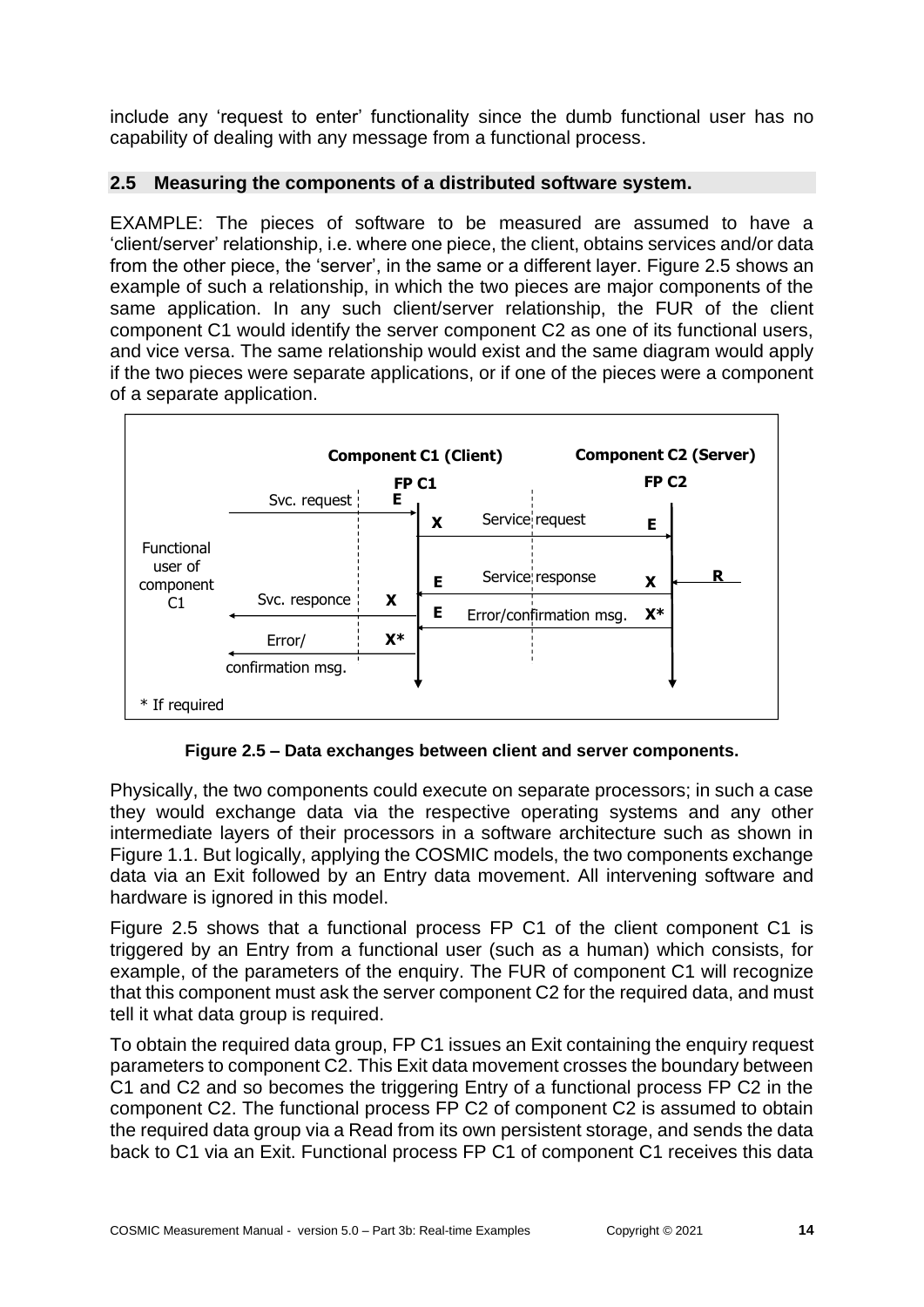include any 'request to enter' functionality since the dumb functional user has no capability of dealing with any message from a functional process.

### <span id="page-13-0"></span>**2.5 Measuring the components of a distributed software system.**

EXAMPLE: The pieces of software to be measured are assumed to have a 'client/server' relationship, i.e. where one piece, the client, obtains services and/or data from the other piece, the 'server', in the same or a different layer. Figure 2.5 shows an example of such a relationship, in which the two pieces are major components of the same application. In any such client/server relationship, the FUR of the client component C1 would identify the server component C2 as one of its functional users, and vice versa. The same relationship would exist and the same diagram would apply if the two pieces were separate applications, or if one of the pieces were a component of a separate application.



**Figure 2.5 – Data exchanges between client and server components.**

Physically, the two components could execute on separate processors; in such a case they would exchange data via the respective operating systems and any other intermediate layers of their processors in a software architecture such as shown in Figure 1.1. But logically, applying the COSMIC models, the two components exchange data via an Exit followed by an Entry data movement. All intervening software and hardware is ignored in this model.

Figure 2.5 shows that a functional process FP C1 of the client component C1 is triggered by an Entry from a functional user (such as a human) which consists, for example, of the parameters of the enquiry. The FUR of component C1 will recognize that this component must ask the server component C2 for the required data, and must tell it what data group is required.

To obtain the required data group, FP C1 issues an Exit containing the enquiry request parameters to component C2. This Exit data movement crosses the boundary between C1 and C2 and so becomes the triggering Entry of a functional process FP C2 in the component C2. The functional process FP C2 of component C2 is assumed to obtain the required data group via a Read from its own persistent storage, and sends the data back to C1 via an Exit. Functional process FP C1 of component C1 receives this data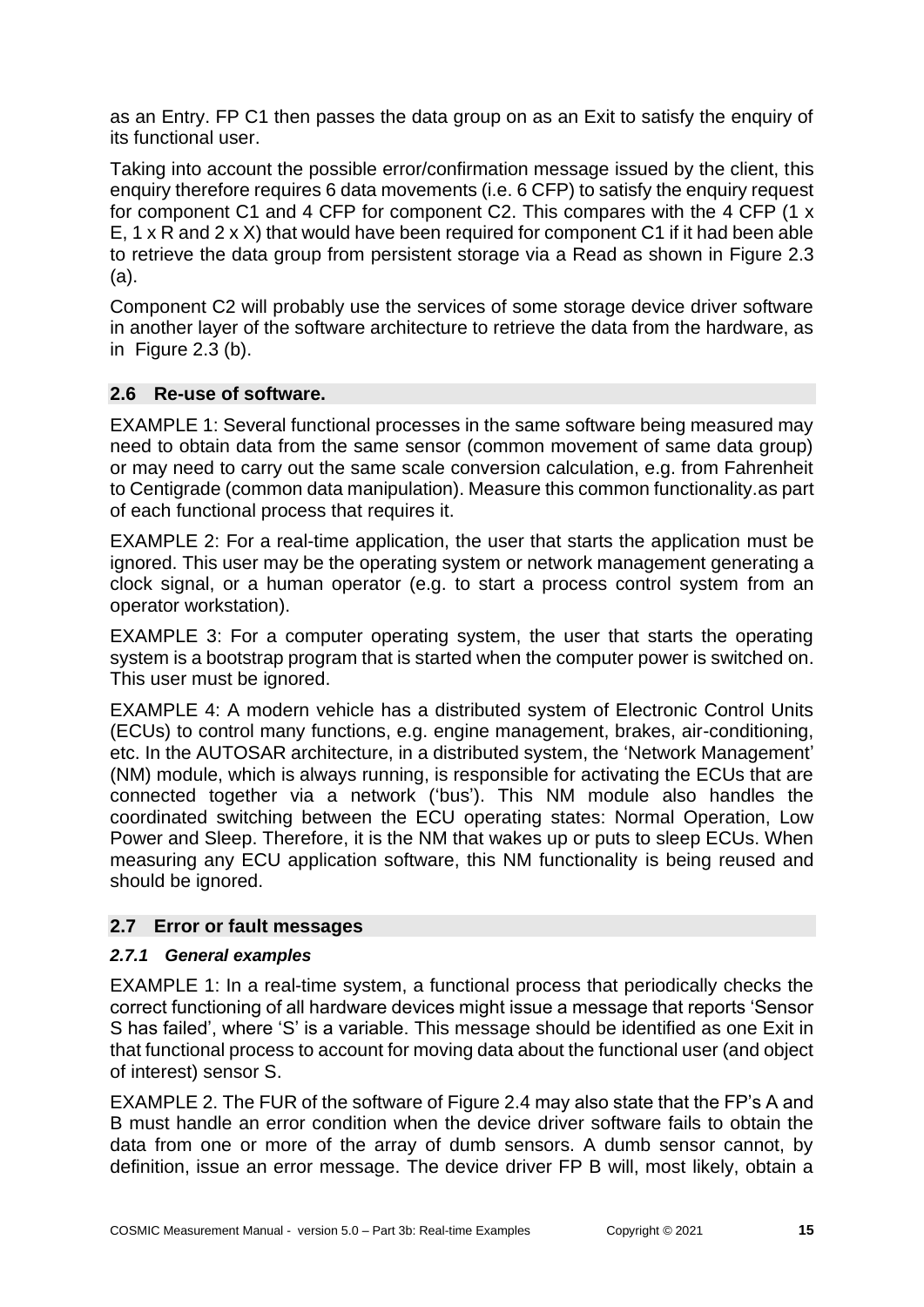as an Entry. FP C1 then passes the data group on as an Exit to satisfy the enquiry of its functional user.

Taking into account the possible error/confirmation message issued by the client, this enquiry therefore requires 6 data movements (i.e. 6 CFP) to satisfy the enquiry request for component C1 and 4 CFP for component C2. This compares with the 4 CFP (1 x E, 1 x R and 2 x X) that would have been required for component C1 if it had been able to retrieve the data group from persistent storage via a Read as shown in Figure 2.3 (a).

Component C2 will probably use the services of some storage device driver software in another layer of the software architecture to retrieve the data from the hardware, as in Figure 2.3 (b).

#### <span id="page-14-0"></span>**2.6 Re-use of software.**

EXAMPLE 1: Several functional processes in the same software being measured may need to obtain data from the same sensor (common movement of same data group) or may need to carry out the same scale conversion calculation, e.g. from Fahrenheit to Centigrade (common data manipulation). Measure this common functionality.as part of each functional process that requires it.

EXAMPLE 2: For a real-time application, the user that starts the application must be ignored. This user may be the operating system or network management generating a clock signal, or a human operator (e.g. to start a process control system from an operator workstation).

EXAMPLE 3: For a computer operating system, the user that starts the operating system is a bootstrap program that is started when the computer power is switched on. This user must be ignored.

EXAMPLE 4: A modern vehicle has a distributed system of Electronic Control Units (ECUs) to control many functions, e.g. engine management, brakes, air-conditioning, etc. In the AUTOSAR architecture, in a distributed system, the 'Network Management' (NM) module, which is always running, is responsible for activating the ECUs that are connected together via a network ('bus'). This NM module also handles the coordinated switching between the ECU operating states: Normal Operation, Low Power and Sleep. Therefore, it is the NM that wakes up or puts to sleep ECUs. When measuring any ECU application software, this NM functionality is being reused and should be ignored.

# <span id="page-14-1"></span>**2.7 Error or fault messages**

#### <span id="page-14-2"></span>*2.7.1 General examples*

EXAMPLE 1: In a real-time system, a functional process that periodically checks the correct functioning of all hardware devices might issue a message that reports 'Sensor S has failed', where 'S' is a variable. This message should be identified as one Exit in that functional process to account for moving data about the functional user (and object of interest) sensor S.

EXAMPLE 2. The FUR of the software of Figure 2.4 may also state that the FP's A and B must handle an error condition when the device driver software fails to obtain the data from one or more of the array of dumb sensors. A dumb sensor cannot, by definition, issue an error message. The device driver FP B will, most likely, obtain a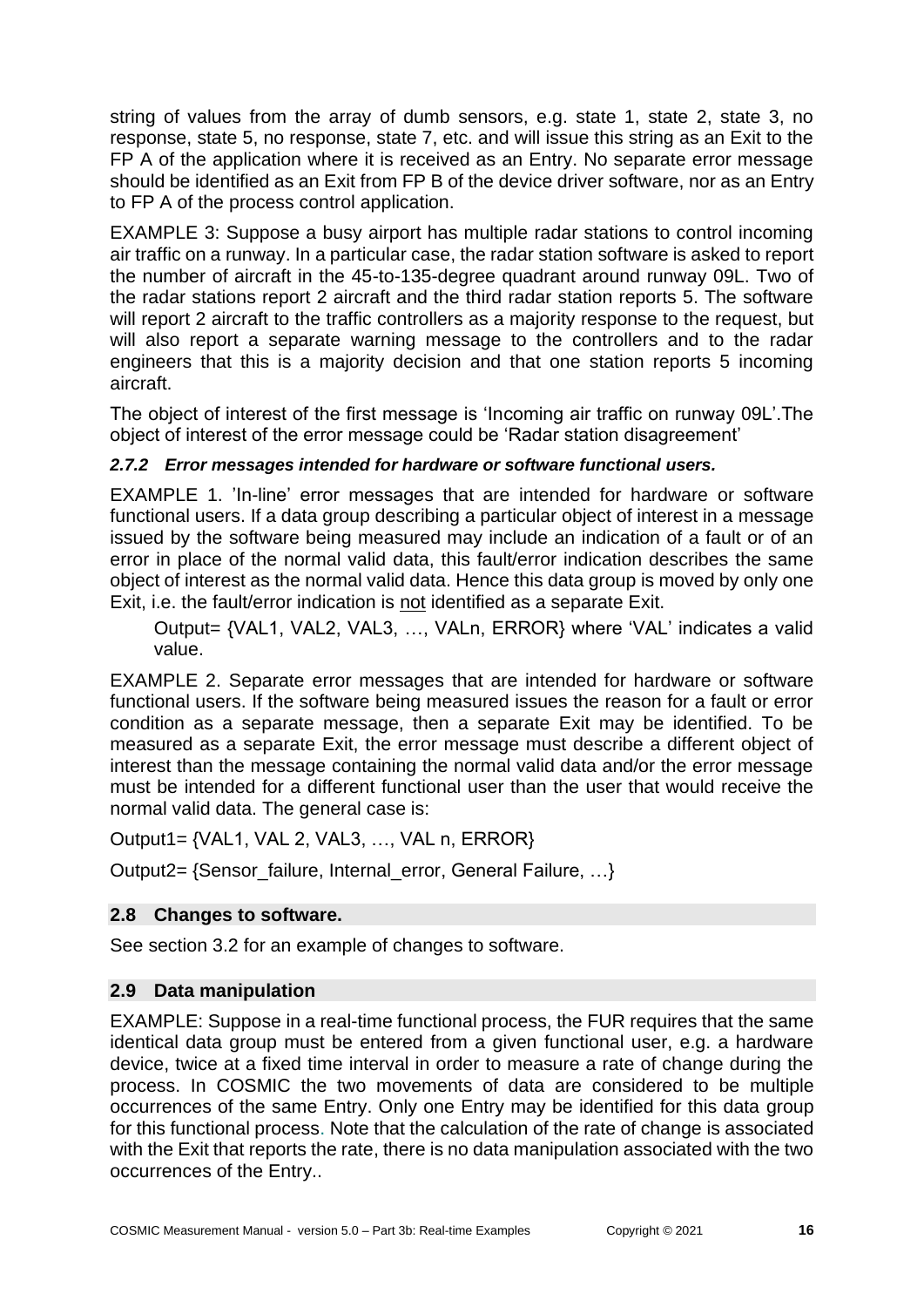string of values from the array of dumb sensors, e.g. state 1, state 2, state 3, no response, state 5, no response, state 7, etc. and will issue this string as an Exit to the FP A of the application where it is received as an Entry. No separate error message should be identified as an Exit from FP B of the device driver software, nor as an Entry to FP A of the process control application.

EXAMPLE 3: Suppose a busy airport has multiple radar stations to control incoming air traffic on a runway. In a particular case, the radar station software is asked to report the number of aircraft in the 45-to-135-degree quadrant around runway 09L. Two of the radar stations report 2 aircraft and the third radar station reports 5. The software will report 2 aircraft to the traffic controllers as a majority response to the request, but will also report a separate warning message to the controllers and to the radar engineers that this is a majority decision and that one station reports 5 incoming aircraft.

The object of interest of the first message is 'Incoming air traffic on runway 09L'.The object of interest of the error message could be 'Radar station disagreement'

# <span id="page-15-0"></span>*2.7.2 Error messages intended for hardware or software functional users.*

EXAMPLE 1. 'In-line' error messages that are intended for hardware or software functional users. If a data group describing a particular object of interest in a message issued by the software being measured may include an indication of a fault or of an error in place of the normal valid data, this fault/error indication describes the same object of interest as the normal valid data. Hence this data group is moved by only one Exit, i.e. the fault/error indication is not identified as a separate Exit.

Output= {VAL1, VAL2, VAL3, …, VALn, ERROR} where 'VAL' indicates a valid value.

EXAMPLE 2. Separate error messages that are intended for hardware or software functional users. If the software being measured issues the reason for a fault or error condition as a separate message, then a separate Exit may be identified. To be measured as a separate Exit, the error message must describe a different object of interest than the message containing the normal valid data and/or the error message must be intended for a different functional user than the user that would receive the normal valid data. The general case is:

Output1= {VAL1, VAL 2, VAL3, …, VAL n, ERROR}

Output2= {Sensor\_failure, Internal\_error, General Failure, …}

# <span id="page-15-1"></span>**2.8 Changes to software.**

See section 3.2 for an example of changes to software.

# <span id="page-15-2"></span>**2.9 Data manipulation**

EXAMPLE: Suppose in a real-time functional process, the FUR requires that the same identical data group must be entered from a given functional user, e.g. a hardware device, twice at a fixed time interval in order to measure a rate of change during the process. In COSMIC the two movements of data are considered to be multiple occurrences of the same Entry. Only one Entry may be identified for this data group for this functional process. Note that the calculation of the rate of change is associated with the Exit that reports the rate, there is no data manipulation associated with the two occurrences of the Entry..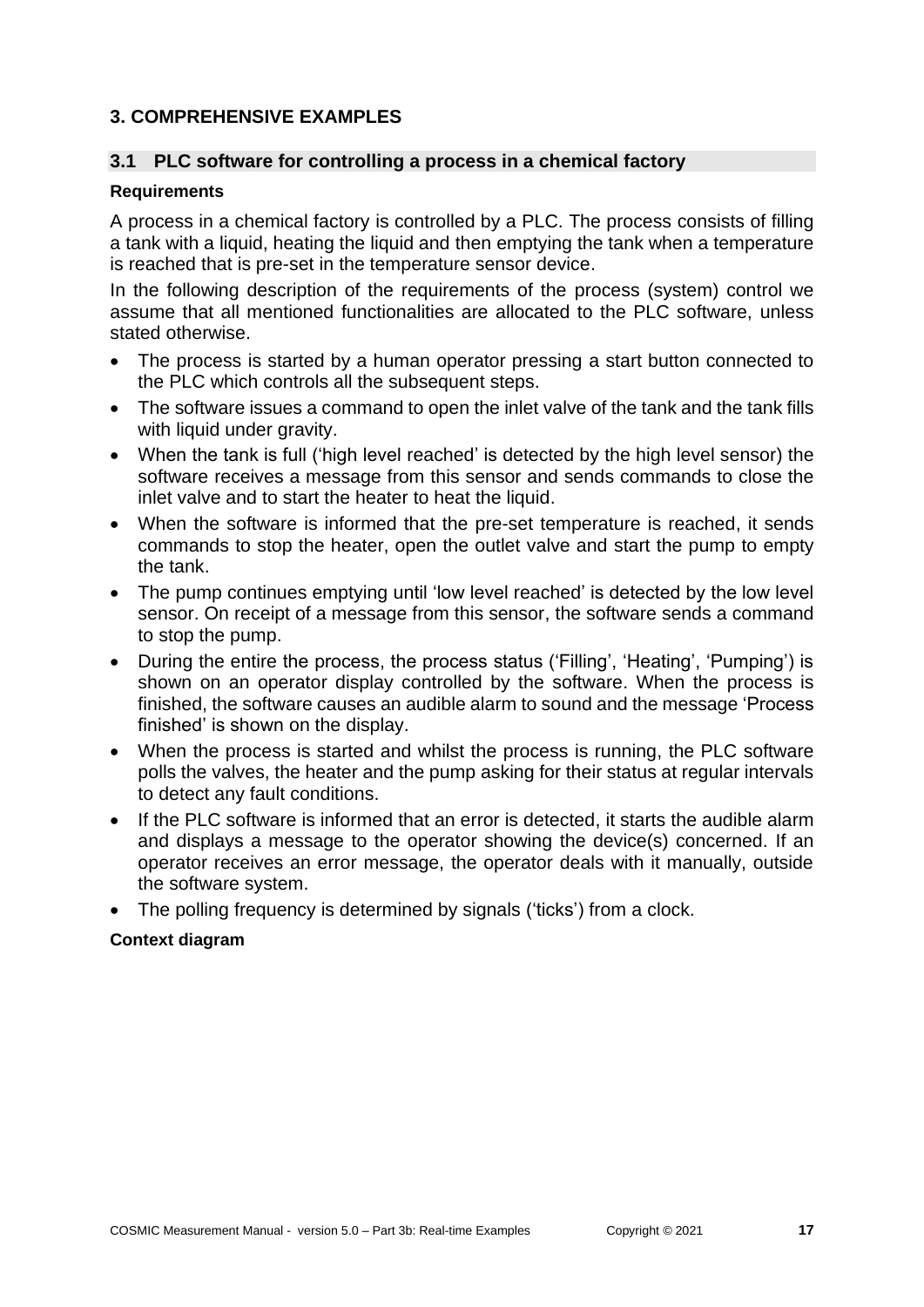# <span id="page-16-0"></span>**3. COMPREHENSIVE EXAMPLES**

#### <span id="page-16-1"></span>**3.1 PLC software for controlling a process in a chemical factory**

#### **Requirements**

A process in a chemical factory is controlled by a PLC. The process consists of filling a tank with a liquid, heating the liquid and then emptying the tank when a temperature is reached that is pre-set in the temperature sensor device.

In the following description of the requirements of the process (system) control we assume that all mentioned functionalities are allocated to the PLC software, unless stated otherwise.

- The process is started by a human operator pressing a start button connected to the PLC which controls all the subsequent steps.
- The software issues a command to open the inlet valve of the tank and the tank fills with liquid under gravity.
- When the tank is full ('high level reached' is detected by the high level sensor) the software receives a message from this sensor and sends commands to close the inlet valve and to start the heater to heat the liquid.
- When the software is informed that the pre-set temperature is reached, it sends commands to stop the heater, open the outlet valve and start the pump to empty the tank.
- The pump continues emptying until 'low level reached' is detected by the low level sensor. On receipt of a message from this sensor, the software sends a command to stop the pump.
- During the entire the process, the process status ('Filling', 'Heating', 'Pumping') is shown on an operator display controlled by the software. When the process is finished, the software causes an audible alarm to sound and the message 'Process finished' is shown on the display.
- When the process is started and whilst the process is running, the PLC software polls the valves, the heater and the pump asking for their status at regular intervals to detect any fault conditions.
- If the PLC software is informed that an error is detected, it starts the audible alarm and displays a message to the operator showing the device(s) concerned. If an operator receives an error message, the operator deals with it manually, outside the software system.
- The polling frequency is determined by signals ('ticks') from a clock.

#### **Context diagram**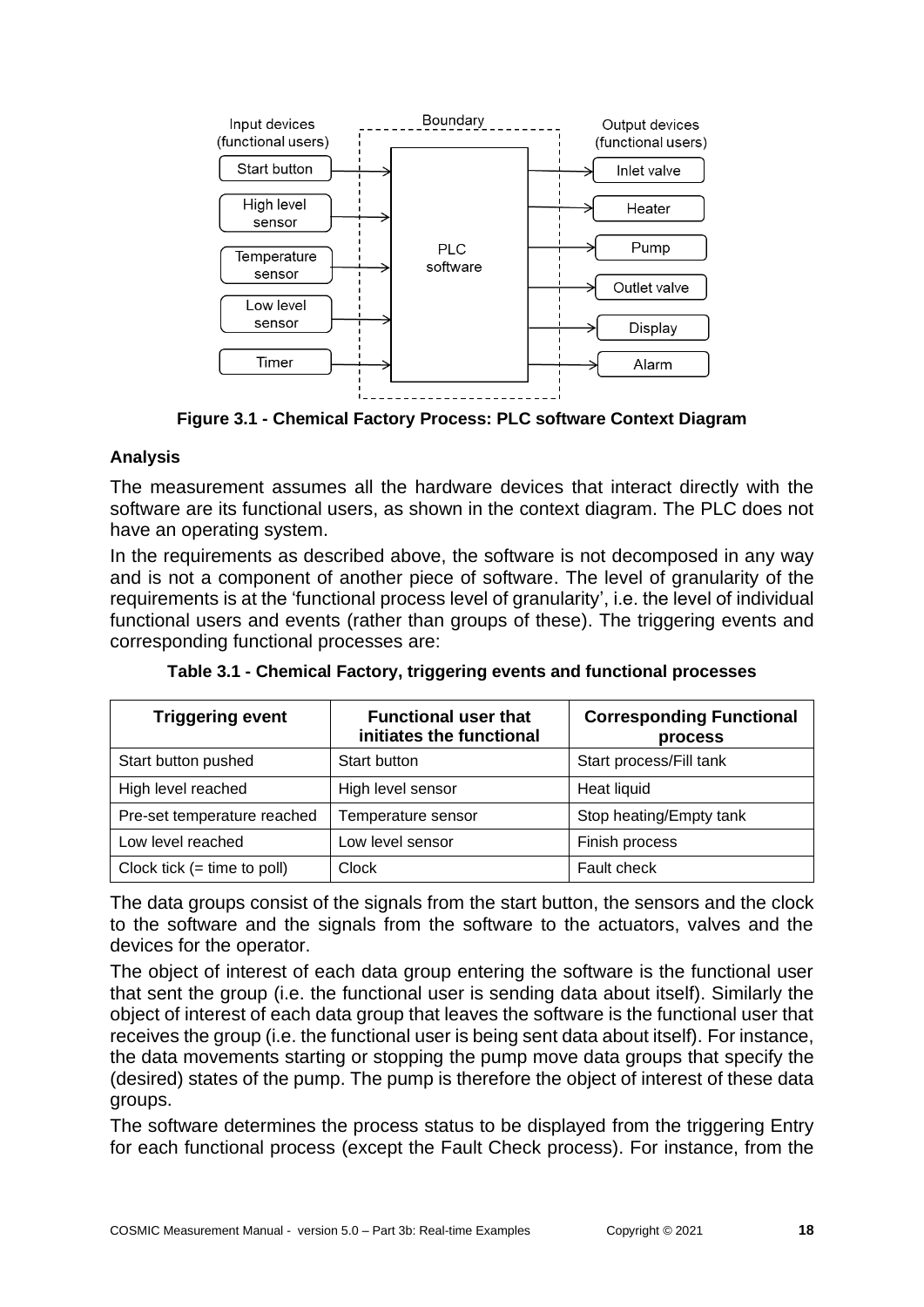

**Figure 3.1 - Chemical Factory Process: PLC software Context Diagram**

### **Analysis**

The measurement assumes all the hardware devices that interact directly with the software are its functional users, as shown in the context diagram. The PLC does not have an operating system.

In the requirements as described above, the software is not decomposed in any way and is not a component of another piece of software. The level of granularity of the requirements is at the 'functional process level of granularity', i.e. the level of individual functional users and events (rather than groups of these). The triggering events and corresponding functional processes are:

| <b>Triggering event</b>       | <b>Functional user that</b><br>initiates the functional | <b>Corresponding Functional</b><br>process |
|-------------------------------|---------------------------------------------------------|--------------------------------------------|
| Start button pushed           | Start button                                            | Start process/Fill tank                    |
| High level reached            | High level sensor                                       | Heat liquid                                |
| Pre-set temperature reached   | Temperature sensor                                      | Stop heating/Empty tank                    |
| Low level reached             | Low level sensor                                        | Finish process                             |
| Clock tick $(=$ time to poll) | Clock                                                   | <b>Fault check</b>                         |

**Table 3.1 - Chemical Factory, triggering events and functional processes**

The data groups consist of the signals from the start button, the sensors and the clock to the software and the signals from the software to the actuators, valves and the devices for the operator.

The object of interest of each data group entering the software is the functional user that sent the group (i.e. the functional user is sending data about itself). Similarly the object of interest of each data group that leaves the software is the functional user that receives the group (i.e. the functional user is being sent data about itself). For instance, the data movements starting or stopping the pump move data groups that specify the (desired) states of the pump. The pump is therefore the object of interest of these data groups.

The software determines the process status to be displayed from the triggering Entry for each functional process (except the Fault Check process). For instance, from the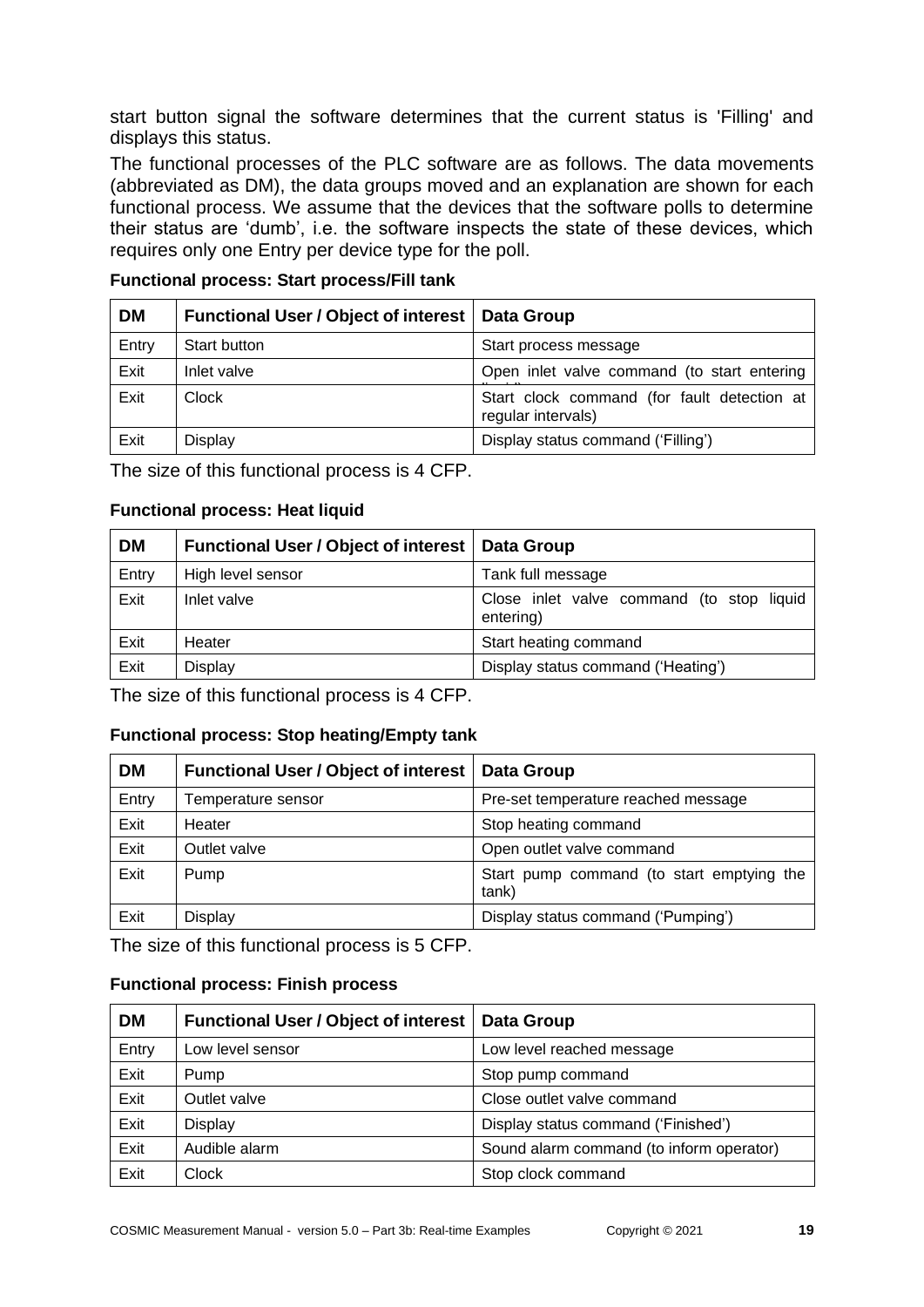start button signal the software determines that the current status is 'Filling' and displays this status.

The functional processes of the PLC software are as follows. The data movements (abbreviated as DM), the data groups moved and an explanation are shown for each functional process. We assume that the devices that the software polls to determine their status are 'dumb', i.e. the software inspects the state of these devices, which requires only one Entry per device type for the poll.

| <b>DM</b> | <b>Functional User / Object of interest</b> | Data Group                                                        |
|-----------|---------------------------------------------|-------------------------------------------------------------------|
| Entry     | Start button                                | Start process message                                             |
| Exit      | Inlet valve                                 | Open inlet valve command (to start entering                       |
| Exit      | <b>Clock</b>                                | Start clock command (for fault detection at<br>regular intervals) |
| Exit      | Display                                     | Display status command ('Filling')                                |

**Functional process: Start process/Fill tank**

The size of this functional process is 4 CFP.

#### **Functional process: Heat liquid**

| <b>DM</b> | Functional User / Object of interest   Data Group |                                                        |
|-----------|---------------------------------------------------|--------------------------------------------------------|
| Entry     | High level sensor                                 | Tank full message                                      |
| Exit      | Inlet valve                                       | Close inlet valve command (to stop liquid<br>entering) |
| Exit      | Heater                                            | Start heating command                                  |
| Exit      | Display                                           | Display status command ('Heating')                     |

The size of this functional process is 4 CFP.

#### **Functional process: Stop heating/Empty tank**

| <b>DM</b> | <b>Functional User / Object of interest</b> | Data Group                                         |
|-----------|---------------------------------------------|----------------------------------------------------|
| Entry     | Temperature sensor                          | Pre-set temperature reached message                |
| Exit      | Heater                                      | Stop heating command                               |
| Exit      | Outlet valve                                | Open outlet valve command                          |
| Exit      | Pump                                        | Start pump command (to start emptying the<br>tank) |
| Exit      | Display                                     | Display status command ('Pumping')                 |

The size of this functional process is 5 CFP.

#### **Functional process: Finish process**

| <b>DM</b> | <b>Functional User / Object of interest</b> | <b>Data Group</b>                        |
|-----------|---------------------------------------------|------------------------------------------|
| Entry     | Low level sensor                            | Low level reached message                |
| Exit      | Pump                                        | Stop pump command                        |
| Exit      | Outlet valve                                | Close outlet valve command               |
| Exit      | <b>Display</b>                              | Display status command ('Finished')      |
| Exit      | Audible alarm                               | Sound alarm command (to inform operator) |
| Exit      | <b>Clock</b>                                | Stop clock command                       |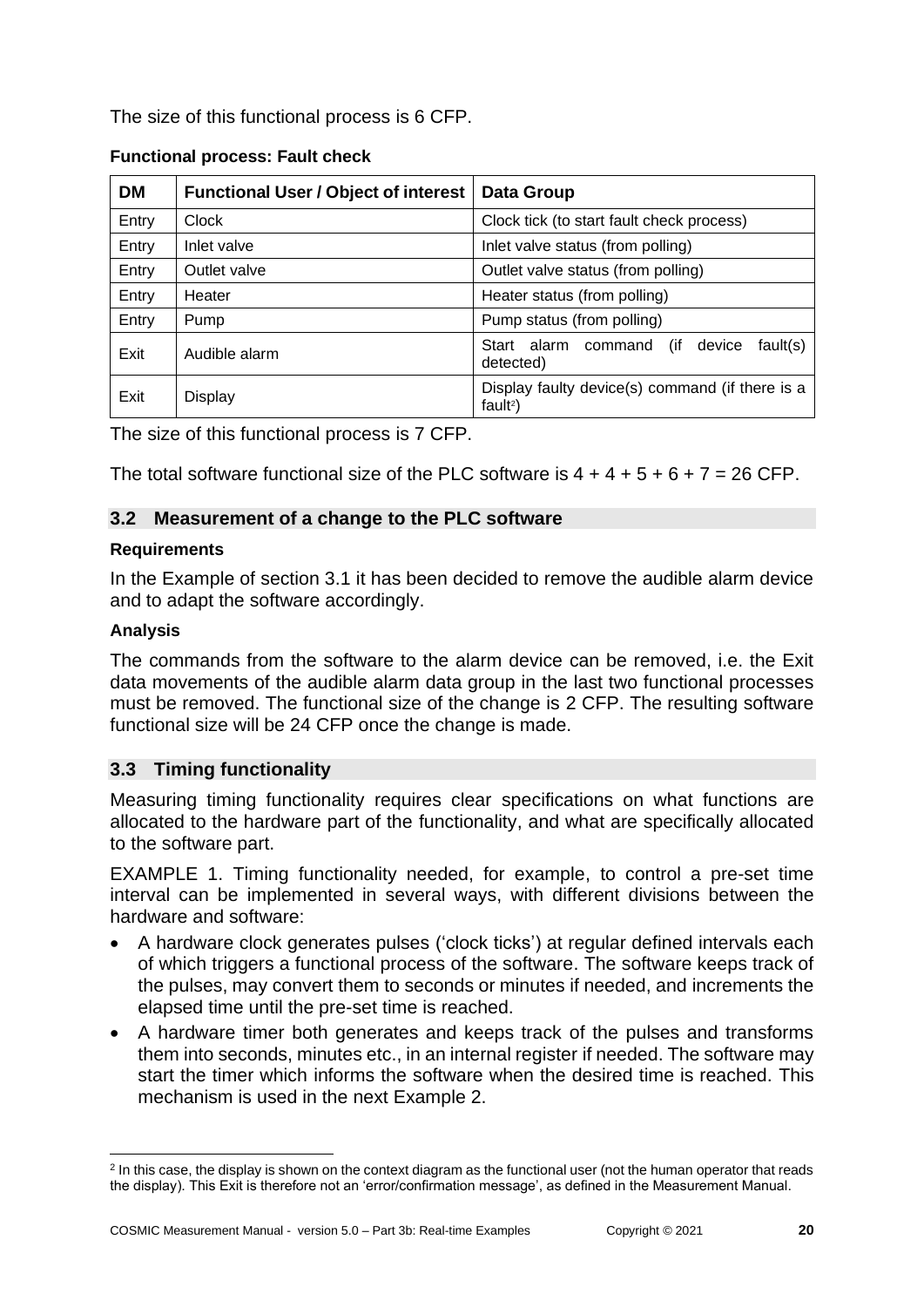The size of this functional process is 6 CFP.

| <b>DM</b> | <b>Functional User / Object of interest</b> | <b>Data Group</b>                                                |
|-----------|---------------------------------------------|------------------------------------------------------------------|
| Entry     | Clock                                       | Clock tick (to start fault check process)                        |
| Entry     | Inlet valve                                 | Inlet valve status (from polling)                                |
| Entry     | Outlet valve                                | Outlet valve status (from polling)                               |
| Entry     | Heater                                      | Heater status (from polling)                                     |
| Entry     | Pump                                        | Pump status (from polling)                                       |
| Exit      | Audible alarm                               | fault(s)<br>Start alarm<br>(if<br>command<br>device<br>detected) |
| Exit      | Display                                     | Display faulty device(s) command (if there is a<br>$fault2$ )    |

The size of this functional process is 7 CFP.

The total software functional size of the PLC software is  $4 + 4 + 5 + 6 + 7 = 26$  CFP.

# <span id="page-19-0"></span>**3.2 Measurement of a change to the PLC software**

### **Requirements**

In the Example of section 3.1 it has been decided to remove the audible alarm device and to adapt the software accordingly.

# **Analysis**

The commands from the software to the alarm device can be removed, i.e. the Exit data movements of the audible alarm data group in the last two functional processes must be removed. The functional size of the change is 2 CFP. The resulting software functional size will be 24 CFP once the change is made.

# <span id="page-19-1"></span>**3.3 Timing functionality**

Measuring timing functionality requires clear specifications on what functions are allocated to the hardware part of the functionality, and what are specifically allocated to the software part.

EXAMPLE 1. Timing functionality needed, for example, to control a pre-set time interval can be implemented in several ways, with different divisions between the hardware and software:

- A hardware clock generates pulses ('clock ticks') at regular defined intervals each of which triggers a functional process of the software. The software keeps track of the pulses, may convert them to seconds or minutes if needed, and increments the elapsed time until the pre-set time is reached.
- A hardware timer both generates and keeps track of the pulses and transforms them into seconds, minutes etc., in an internal register if needed. The software may start the timer which informs the software when the desired time is reached. This mechanism is used in the next Example 2.

<sup>&</sup>lt;sup>2</sup> In this case, the display is shown on the context diagram as the functional user (not the human operator that reads the display). This Exit is therefore not an 'error/confirmation message', as defined in the Measurement Manual.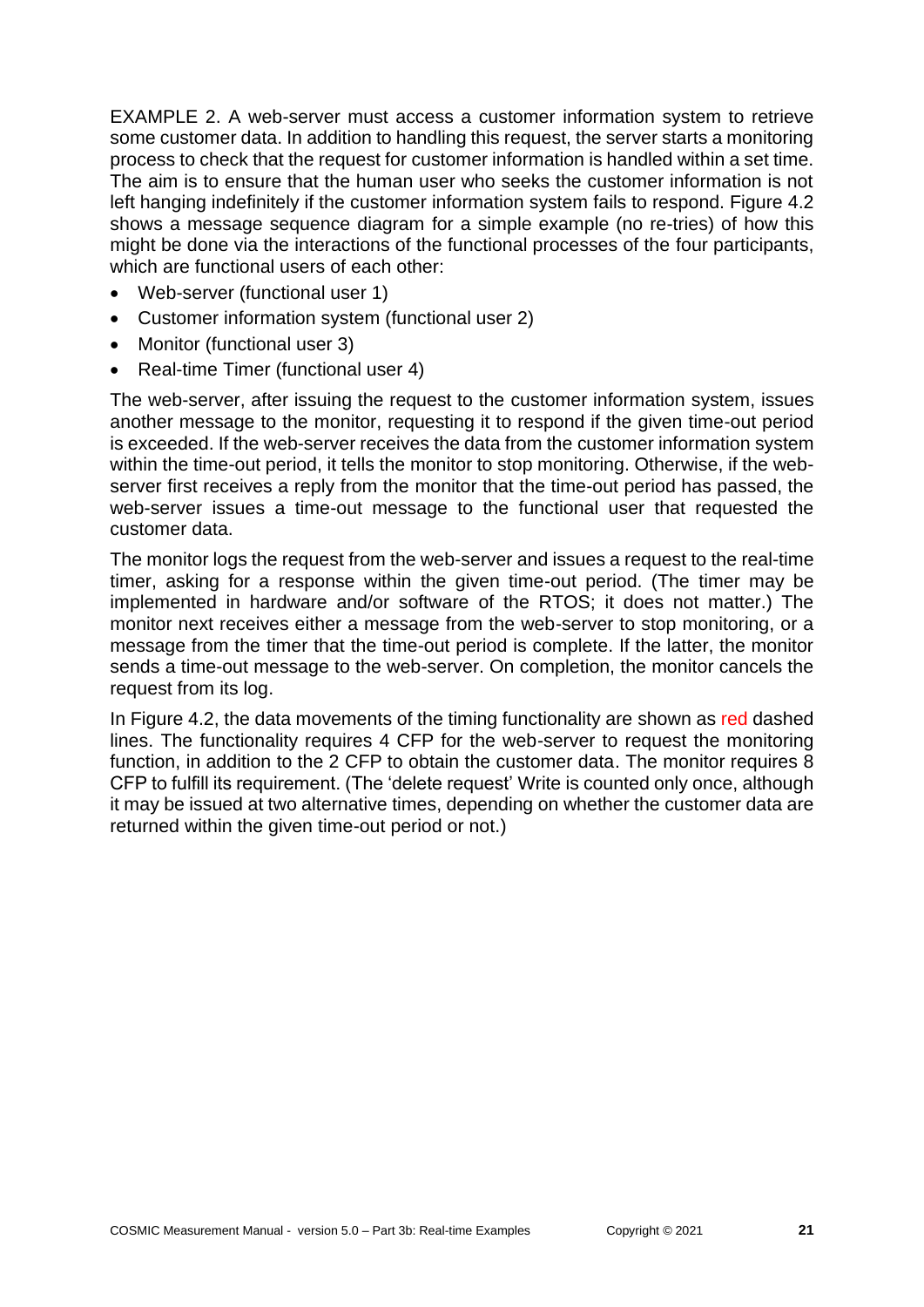EXAMPLE 2. A web-server must access a customer information system to retrieve some customer data. In addition to handling this request, the server starts a monitoring process to check that the request for customer information is handled within a set time. The aim is to ensure that the human user who seeks the customer information is not left hanging indefinitely if the customer information system fails to respond. Figure 4.2 shows a message sequence diagram for a simple example (no re-tries) of how this might be done via the interactions of the functional processes of the four participants, which are functional users of each other:

- Web-server (functional user 1)
- Customer information system (functional user 2)
- Monitor (functional user 3)
- Real-time Timer (functional user 4)

The web-server, after issuing the request to the customer information system, issues another message to the monitor, requesting it to respond if the given time-out period is exceeded. If the web-server receives the data from the customer information system within the time-out period, it tells the monitor to stop monitoring. Otherwise, if the webserver first receives a reply from the monitor that the time-out period has passed, the web-server issues a time-out message to the functional user that requested the customer data.

The monitor logs the request from the web-server and issues a request to the real-time timer, asking for a response within the given time-out period. (The timer may be implemented in hardware and/or software of the RTOS; it does not matter.) The monitor next receives either a message from the web-server to stop monitoring, or a message from the timer that the time-out period is complete. If the latter, the monitor sends a time-out message to the web-server. On completion, the monitor cancels the request from its log.

In Figure 4.2, the data movements of the timing functionality are shown as red dashed lines. The functionality requires 4 CFP for the web-server to request the monitoring function, in addition to the 2 CFP to obtain the customer data. The monitor requires 8 CFP to fulfill its requirement. (The 'delete request' Write is counted only once, although it may be issued at two alternative times, depending on whether the customer data are returned within the given time-out period or not.)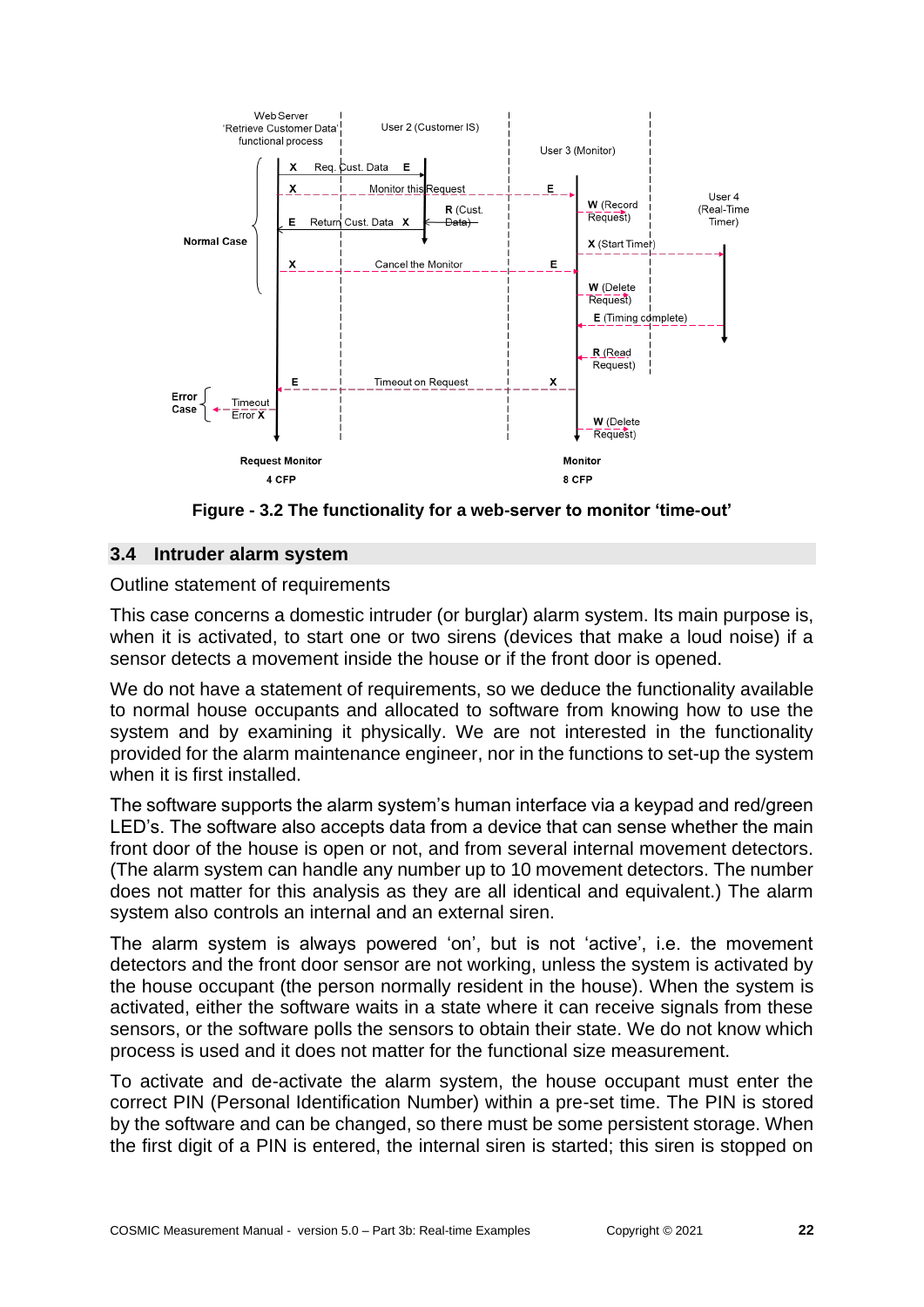

**Figure - 3.2 The functionality for a web-server to monitor 'time-out'**

# <span id="page-21-0"></span>**3.4 Intruder alarm system**

Outline statement of requirements

This case concerns a domestic intruder (or burglar) alarm system. Its main purpose is, when it is activated, to start one or two sirens (devices that make a loud noise) if a sensor detects a movement inside the house or if the front door is opened.

We do not have a statement of requirements, so we deduce the functionality available to normal house occupants and allocated to software from knowing how to use the system and by examining it physically. We are not interested in the functionality provided for the alarm maintenance engineer, nor in the functions to set-up the system when it is first installed.

The software supports the alarm system's human interface via a keypad and red/green LED's. The software also accepts data from a device that can sense whether the main front door of the house is open or not, and from several internal movement detectors. (The alarm system can handle any number up to 10 movement detectors. The number does not matter for this analysis as they are all identical and equivalent.) The alarm system also controls an internal and an external siren.

The alarm system is always powered 'on', but is not 'active', i.e. the movement detectors and the front door sensor are not working, unless the system is activated by the house occupant (the person normally resident in the house). When the system is activated, either the software waits in a state where it can receive signals from these sensors, or the software polls the sensors to obtain their state. We do not know which process is used and it does not matter for the functional size measurement.

To activate and de-activate the alarm system, the house occupant must enter the correct PIN (Personal Identification Number) within a pre-set time. The PIN is stored by the software and can be changed, so there must be some persistent storage. When the first digit of a PIN is entered, the internal siren is started; this siren is stopped on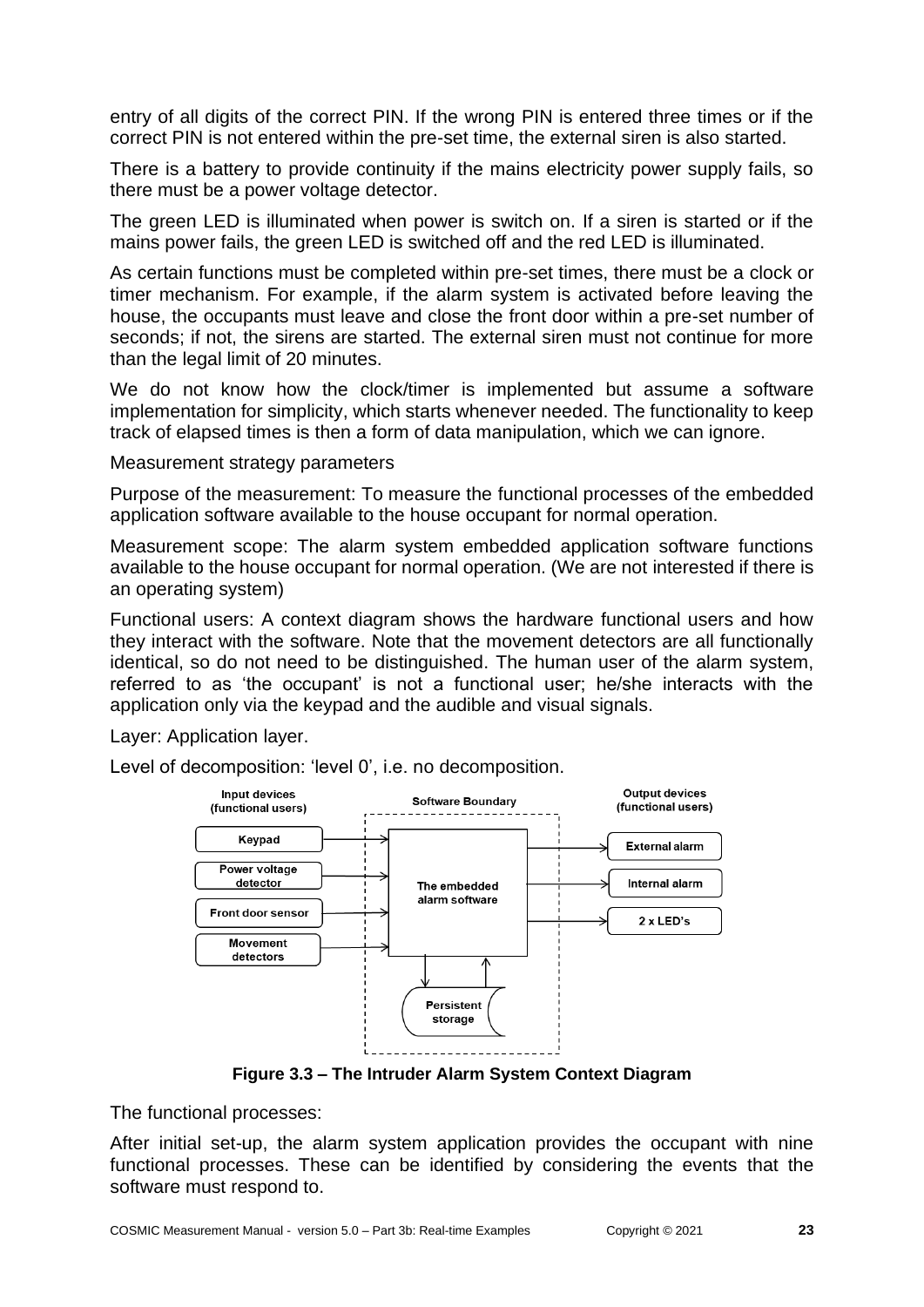entry of all digits of the correct PIN. If the wrong PIN is entered three times or if the correct PIN is not entered within the pre-set time, the external siren is also started.

There is a battery to provide continuity if the mains electricity power supply fails, so there must be a power voltage detector.

The green LED is illuminated when power is switch on. If a siren is started or if the mains power fails, the green LED is switched off and the red LED is illuminated.

As certain functions must be completed within pre-set times, there must be a clock or timer mechanism. For example, if the alarm system is activated before leaving the house, the occupants must leave and close the front door within a pre-set number of seconds; if not, the sirens are started. The external siren must not continue for more than the legal limit of 20 minutes.

We do not know how the clock/timer is implemented but assume a software implementation for simplicity, which starts whenever needed. The functionality to keep track of elapsed times is then a form of data manipulation, which we can ignore.

Measurement strategy parameters

Purpose of the measurement: To measure the functional processes of the embedded application software available to the house occupant for normal operation.

Measurement scope: The alarm system embedded application software functions available to the house occupant for normal operation. (We are not interested if there is an operating system)

Functional users: A context diagram shows the hardware functional users and how they interact with the software. Note that the movement detectors are all functionally identical, so do not need to be distinguished. The human user of the alarm system, referred to as 'the occupant' is not a functional user; he/she interacts with the application only via the keypad and the audible and visual signals.

Layer: Application layer.

Level of decomposition: 'level 0', i.e. no decomposition.



**Figure 3.3 – The Intruder Alarm System Context Diagram**

The functional processes:

After initial set-up, the alarm system application provides the occupant with nine functional processes. These can be identified by considering the events that the software must respond to.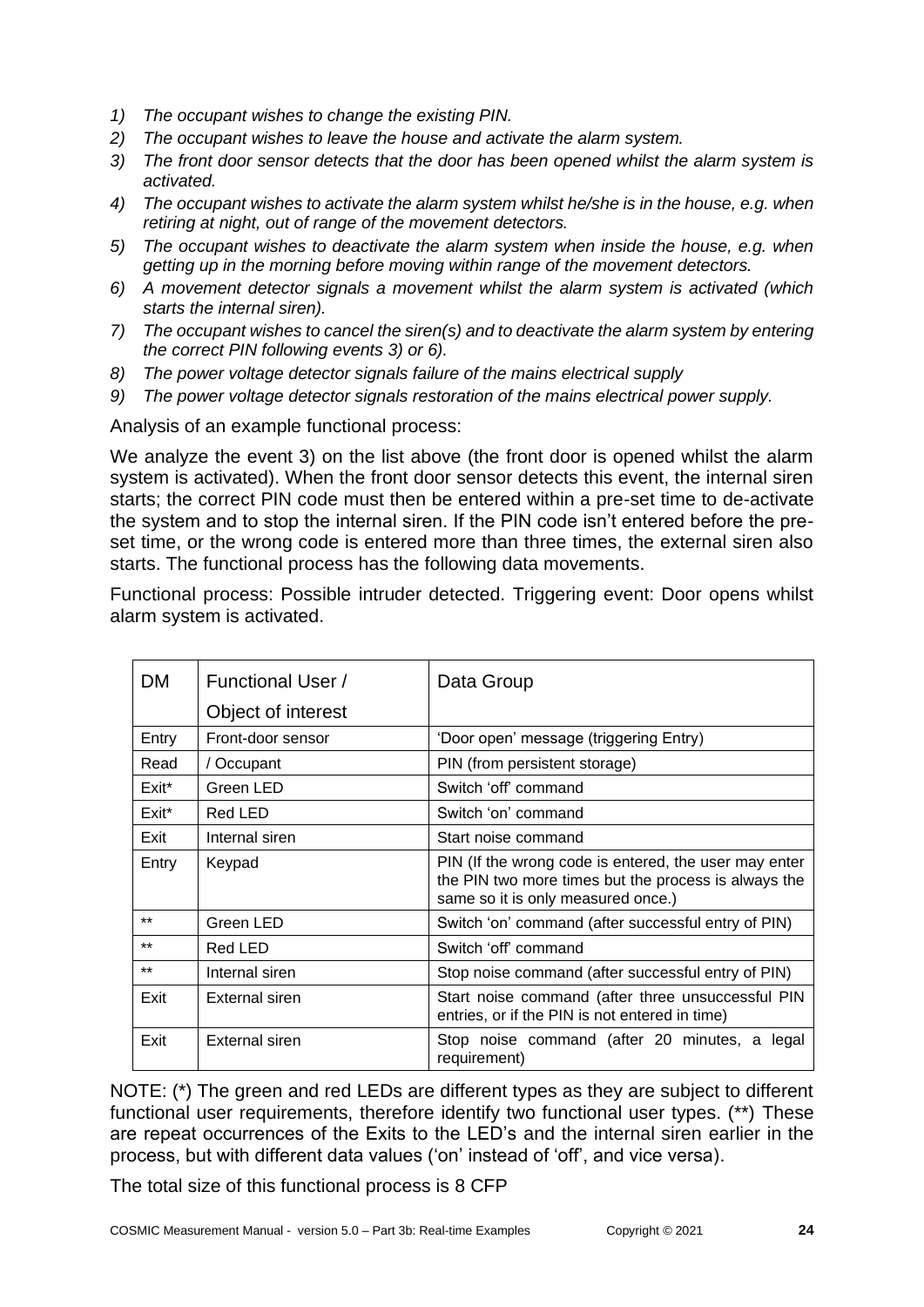- *1) The occupant wishes to change the existing PIN.*
- *2) The occupant wishes to leave the house and activate the alarm system.*
- *3) The front door sensor detects that the door has been opened whilst the alarm system is activated.*
- *4) The occupant wishes to activate the alarm system whilst he/she is in the house, e.g. when retiring at night, out of range of the movement detectors.*
- *5) The occupant wishes to deactivate the alarm system when inside the house, e.g. when getting up in the morning before moving within range of the movement detectors.*
- *6) A movement detector signals a movement whilst the alarm system is activated (which starts the internal siren).*
- *7) The occupant wishes to cancel the siren(s) and to deactivate the alarm system by entering the correct PIN following events 3) or 6).*
- *8) The power voltage detector signals failure of the mains electrical supply*
- *9) The power voltage detector signals restoration of the mains electrical power supply.*

Analysis of an example functional process:

We analyze the event 3) on the list above (the front door is opened whilst the alarm system is activated). When the front door sensor detects this event, the internal siren starts; the correct PIN code must then be entered within a pre-set time to de-activate the system and to stop the internal siren. If the PIN code isn't entered before the preset time, or the wrong code is entered more than three times, the external siren also starts. The functional process has the following data movements.

Functional process: Possible intruder detected. Triggering event: Door opens whilst alarm system is activated.

| <b>DM</b> | <b>Functional User /</b> | Data Group                                                                                                                                          |
|-----------|--------------------------|-----------------------------------------------------------------------------------------------------------------------------------------------------|
|           | Object of interest       |                                                                                                                                                     |
| Entry     | Front-door sensor        | 'Door open' message (triggering Entry)                                                                                                              |
| Read      | / Occupant               | PIN (from persistent storage)                                                                                                                       |
| Exit*     | Green LED                | Switch 'off' command                                                                                                                                |
| Exit*     | Red LED                  | Switch 'on' command                                                                                                                                 |
| Exit      | Internal siren           | Start noise command                                                                                                                                 |
| Entry     | Keypad                   | PIN (If the wrong code is entered, the user may enter<br>the PIN two more times but the process is always the<br>same so it is only measured once.) |
| $***$     | Green LED                | Switch 'on' command (after successful entry of PIN)                                                                                                 |
| $***$     | Red LED                  | Switch 'off' command                                                                                                                                |
| $***$     | Internal siren           | Stop noise command (after successful entry of PIN)                                                                                                  |
| Exit      | External siren           | Start noise command (after three unsuccessful PIN<br>entries, or if the PIN is not entered in time)                                                 |
| Exit      | External siren           | Stop noise command (after 20 minutes, a<br>legal<br>requirement)                                                                                    |

NOTE: (\*) The green and red LEDs are different types as they are subject to different functional user requirements, therefore identify two functional user types. (\*\*) These are repeat occurrences of the Exits to the LED's and the internal siren earlier in the process, but with different data values ('on' instead of 'off', and vice versa).

The total size of this functional process is 8 CFP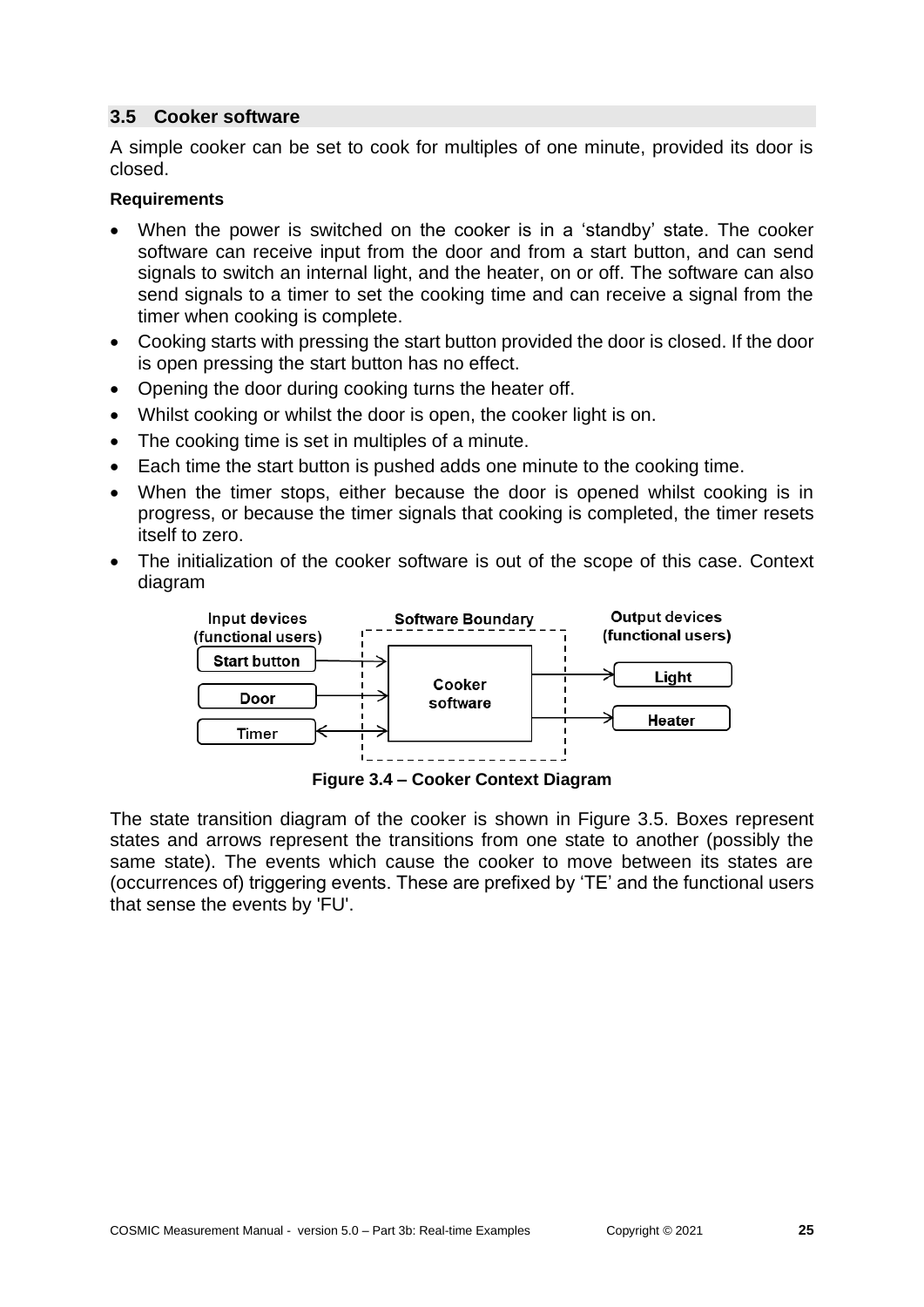#### <span id="page-24-0"></span>**3.5 Cooker software**

A simple cooker can be set to cook for multiples of one minute, provided its door is closed.

#### **Requirements**

- When the power is switched on the cooker is in a 'standby' state. The cooker software can receive input from the door and from a start button, and can send signals to switch an internal light, and the heater, on or off. The software can also send signals to a timer to set the cooking time and can receive a signal from the timer when cooking is complete.
- Cooking starts with pressing the start button provided the door is closed. If the door is open pressing the start button has no effect.
- Opening the door during cooking turns the heater off.
- Whilst cooking or whilst the door is open, the cooker light is on.
- The cooking time is set in multiples of a minute.
- Each time the start button is pushed adds one minute to the cooking time.
- When the timer stops, either because the door is opened whilst cooking is in progress, or because the timer signals that cooking is completed, the timer resets itself to zero.
- The initialization of the cooker software is out of the scope of this case. Context diagram



**Figure 3.4 – Cooker Context Diagram**

The state transition diagram of the cooker is shown in Figure 3.5. Boxes represent states and arrows represent the transitions from one state to another (possibly the same state). The events which cause the cooker to move between its states are (occurrences of) triggering events. These are prefixed by 'TE' and the functional users that sense the events by 'FU'.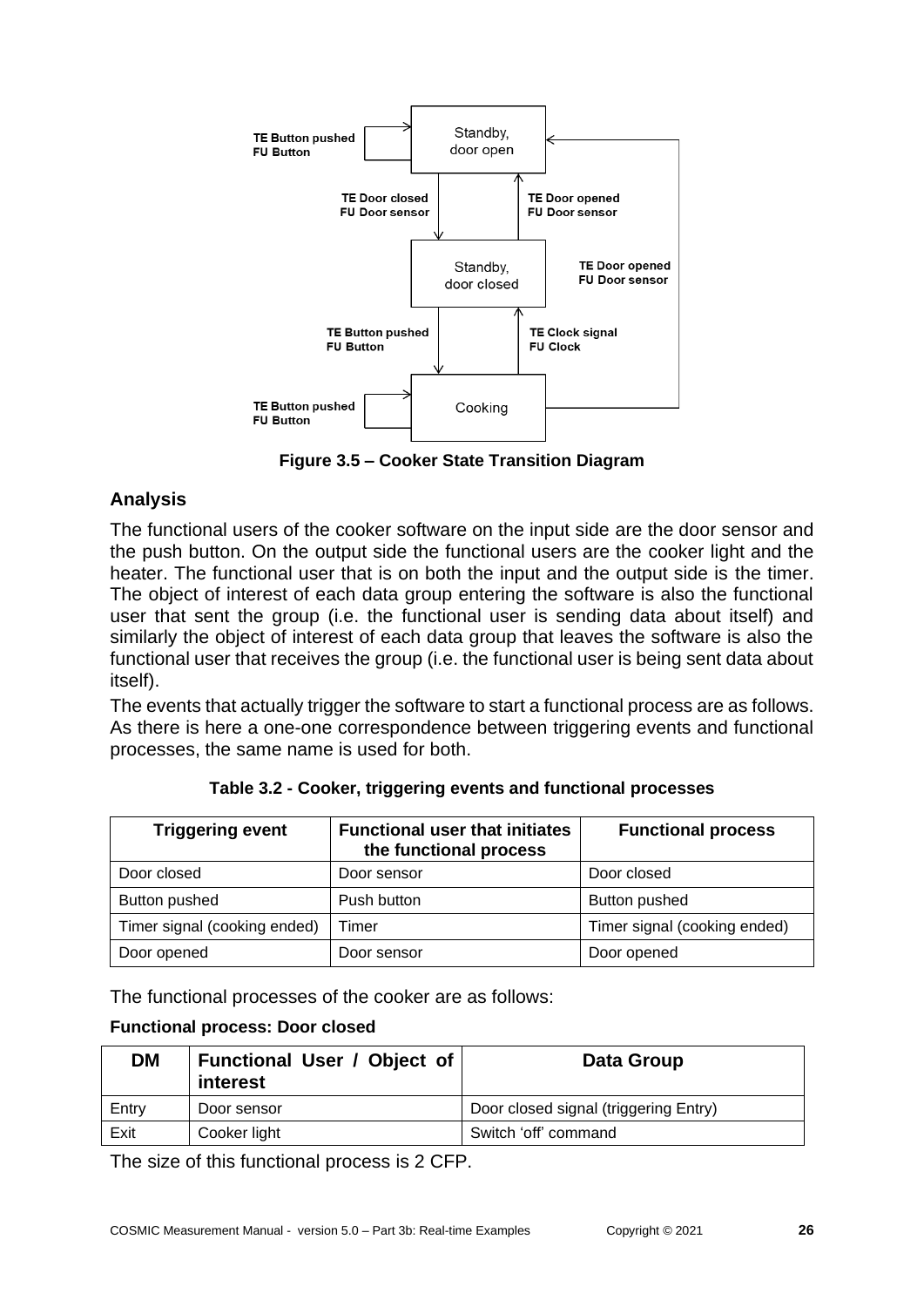

**Figure 3.5 – Cooker State Transition Diagram**

# **Analysis**

The functional users of the cooker software on the input side are the door sensor and the push button. On the output side the functional users are the cooker light and the heater. The functional user that is on both the input and the output side is the timer. The object of interest of each data group entering the software is also the functional user that sent the group (i.e. the functional user is sending data about itself) and similarly the object of interest of each data group that leaves the software is also the functional user that receives the group (i.e. the functional user is being sent data about itself).

The events that actually trigger the software to start a functional process are as follows. As there is here a one-one correspondence between triggering events and functional processes, the same name is used for both.

| <b>Triggering event</b>      | <b>Functional user that initiates</b><br>the functional process | <b>Functional process</b>    |
|------------------------------|-----------------------------------------------------------------|------------------------------|
| Door closed                  | Door sensor                                                     | Door closed                  |
| Button pushed                | Push button                                                     | <b>Button pushed</b>         |
| Timer signal (cooking ended) | Timer                                                           | Timer signal (cooking ended) |
| Door opened                  | Door sensor                                                     | Door opened                  |

**Table 3.2 - Cooker, triggering events and functional processes**

The functional processes of the cooker are as follows:

#### **Functional process: Door closed**

| DM    | Functional User / Object of<br>interest | Data Group                            |
|-------|-----------------------------------------|---------------------------------------|
| Entry | Door sensor                             | Door closed signal (triggering Entry) |
| Exit  | Cooker light                            | Switch 'off' command                  |

The size of this functional process is 2 CFP.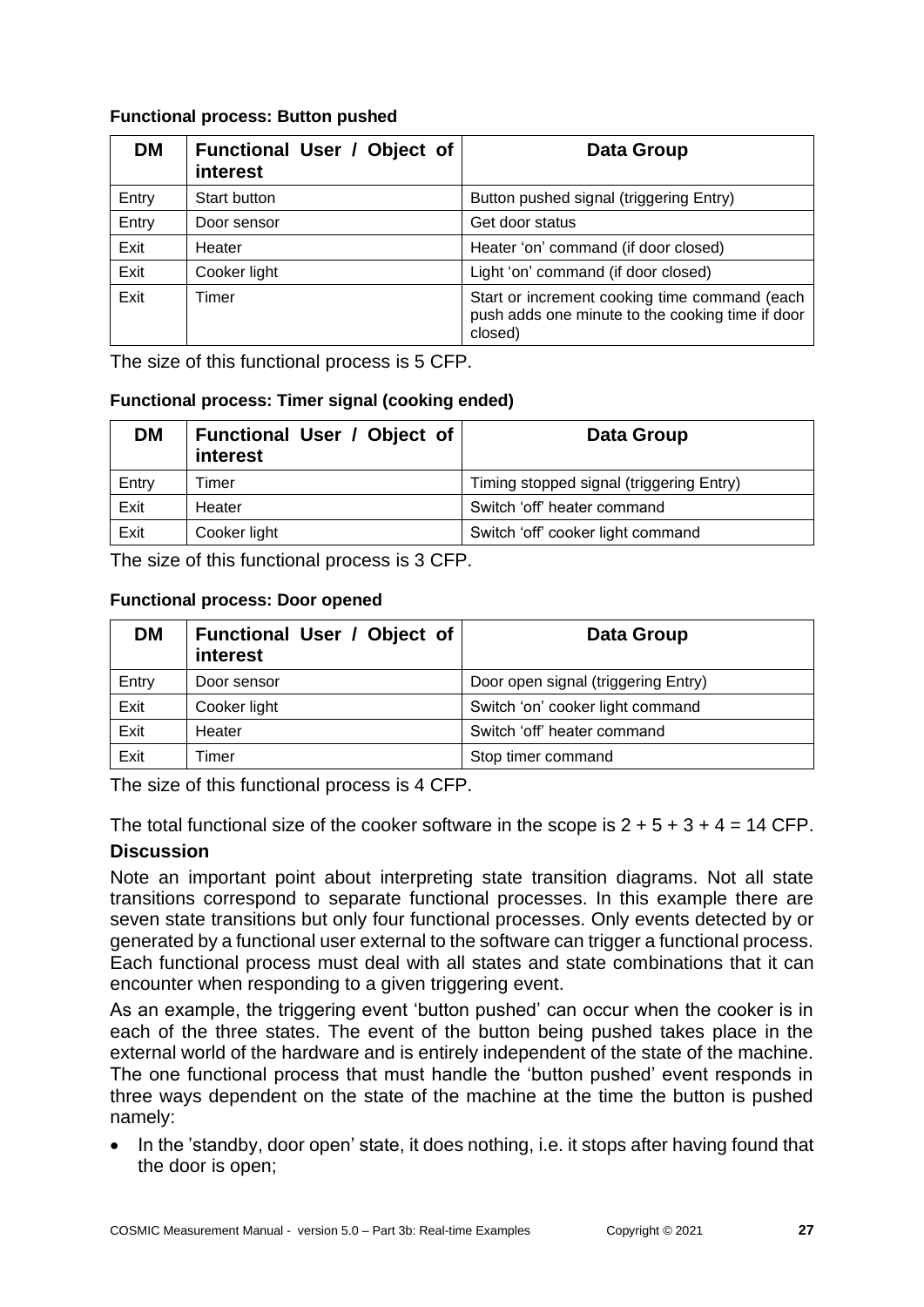#### **Functional process: Button pushed**

| <b>DM</b> | Functional User / Object of<br>interest | <b>Data Group</b>                                                                                            |
|-----------|-----------------------------------------|--------------------------------------------------------------------------------------------------------------|
| Entry     | Start button                            | Button pushed signal (triggering Entry)                                                                      |
| Entry     | Door sensor                             | Get door status                                                                                              |
| Exit      | Heater                                  | Heater 'on' command (if door closed)                                                                         |
| Exit      | Cooker light                            | Light 'on' command (if door closed)                                                                          |
| Exit      | Timer                                   | Start or increment cooking time command (each<br>push adds one minute to the cooking time if door<br>closed) |

The size of this functional process is 5 CFP.

#### **Functional process: Timer signal (cooking ended)**

| DM    | Functional User / Object of<br>interest | Data Group                               |
|-------|-----------------------------------------|------------------------------------------|
| Entry | Timer                                   | Timing stopped signal (triggering Entry) |
| Exit  | Heater                                  | Switch 'off' heater command              |
| Exit  | Cooker light                            | Switch 'off' cooker light command        |

The size of this functional process is 3 CFP.

#### **Functional process: Door opened**

| <b>DM</b> | Functional User / Object of<br>interest | Data Group                          |
|-----------|-----------------------------------------|-------------------------------------|
| Entry     | Door sensor                             | Door open signal (triggering Entry) |
| Exit      | Cooker light                            | Switch 'on' cooker light command    |
| Exit      | Heater                                  | Switch 'off' heater command         |
| Exit      | Timer                                   | Stop timer command                  |

The size of this functional process is 4 CFP.

The total functional size of the cooker software in the scope is  $2 + 5 + 3 + 4 = 14$  CFP.

#### **Discussion**

Note an important point about interpreting state transition diagrams. Not all state transitions correspond to separate functional processes. In this example there are seven state transitions but only four functional processes. Only events detected by or generated by a functional user external to the software can trigger a functional process. Each functional process must deal with all states and state combinations that it can encounter when responding to a given triggering event.

As an example, the triggering event 'button pushed' can occur when the cooker is in each of the three states. The event of the button being pushed takes place in the external world of the hardware and is entirely independent of the state of the machine. The one functional process that must handle the 'button pushed' event responds in three ways dependent on the state of the machine at the time the button is pushed namely:

• In the 'standby, door open' state, it does nothing, i.e. it stops after having found that the door is open;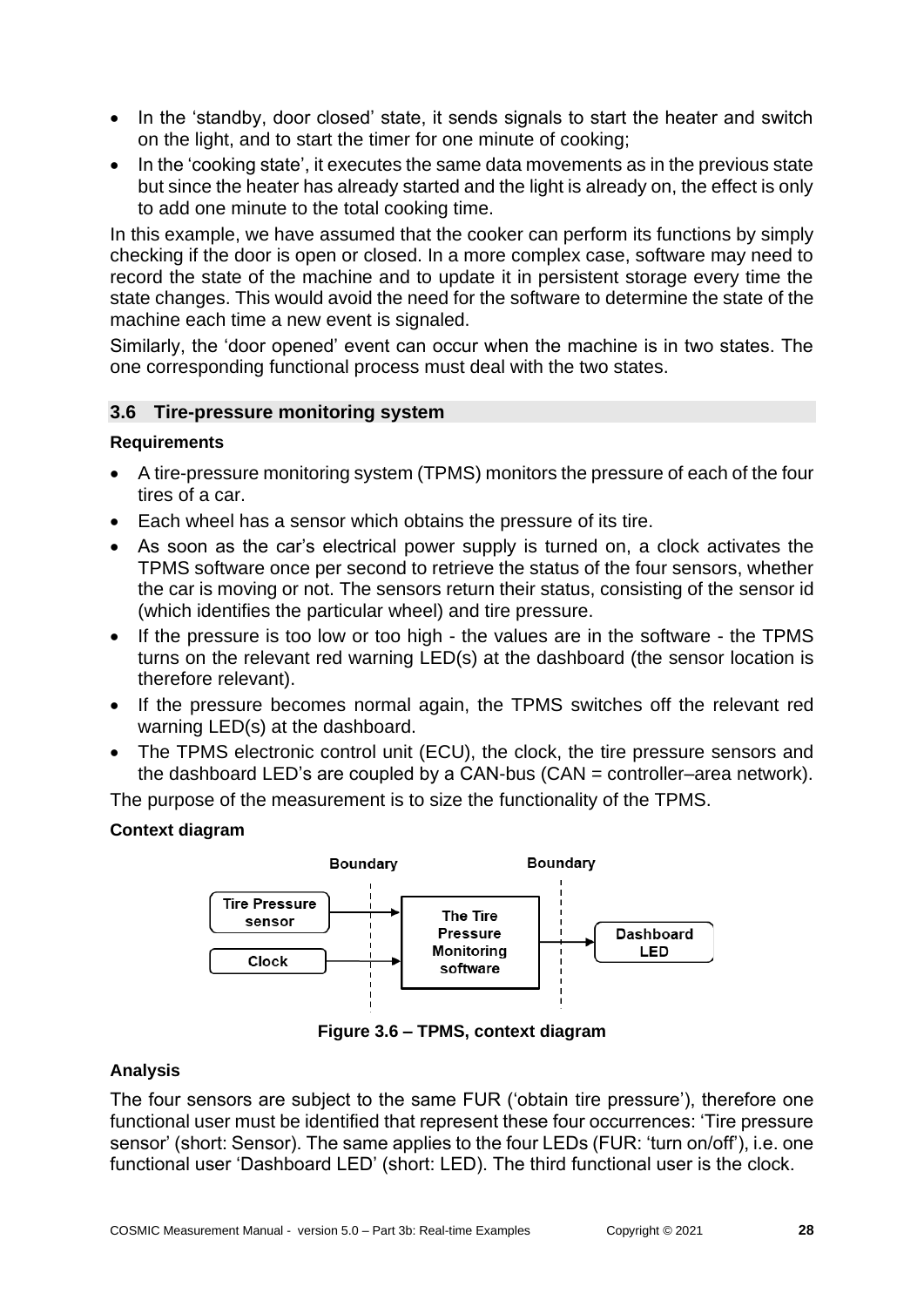- In the 'standby, door closed' state, it sends signals to start the heater and switch on the light, and to start the timer for one minute of cooking;
- In the 'cooking state', it executes the same data movements as in the previous state but since the heater has already started and the light is already on, the effect is only to add one minute to the total cooking time.

In this example, we have assumed that the cooker can perform its functions by simply checking if the door is open or closed. In a more complex case, software may need to record the state of the machine and to update it in persistent storage every time the state changes. This would avoid the need for the software to determine the state of the machine each time a new event is signaled.

Similarly, the 'door opened' event can occur when the machine is in two states. The one corresponding functional process must deal with the two states.

### <span id="page-27-0"></span>**3.6 Tire-pressure monitoring system**

### **Requirements**

- A tire-pressure monitoring system (TPMS) monitors the pressure of each of the four tires of a car.
- Each wheel has a sensor which obtains the pressure of its tire.
- As soon as the car's electrical power supply is turned on, a clock activates the TPMS software once per second to retrieve the status of the four sensors, whether the car is moving or not. The sensors return their status, consisting of the sensor id (which identifies the particular wheel) and tire pressure.
- If the pressure is too low or too high the values are in the software the TPMS turns on the relevant red warning LED(s) at the dashboard (the sensor location is therefore relevant).
- If the pressure becomes normal again, the TPMS switches off the relevant red warning LED(s) at the dashboard.
- The TPMS electronic control unit (ECU), the clock, the tire pressure sensors and the dashboard LED's are coupled by a CAN-bus (CAN = controller–area network).

The purpose of the measurement is to size the functionality of the TPMS.

#### **Context diagram**



**Figure 3.6 – TPMS, context diagram**

#### **Analysis**

The four sensors are subject to the same FUR ('obtain tire pressure'), therefore one functional user must be identified that represent these four occurrences: 'Tire pressure sensor' (short: Sensor). The same applies to the four LEDs (FUR: 'turn on/off'), i.e. one functional user 'Dashboard LED' (short: LED). The third functional user is the clock.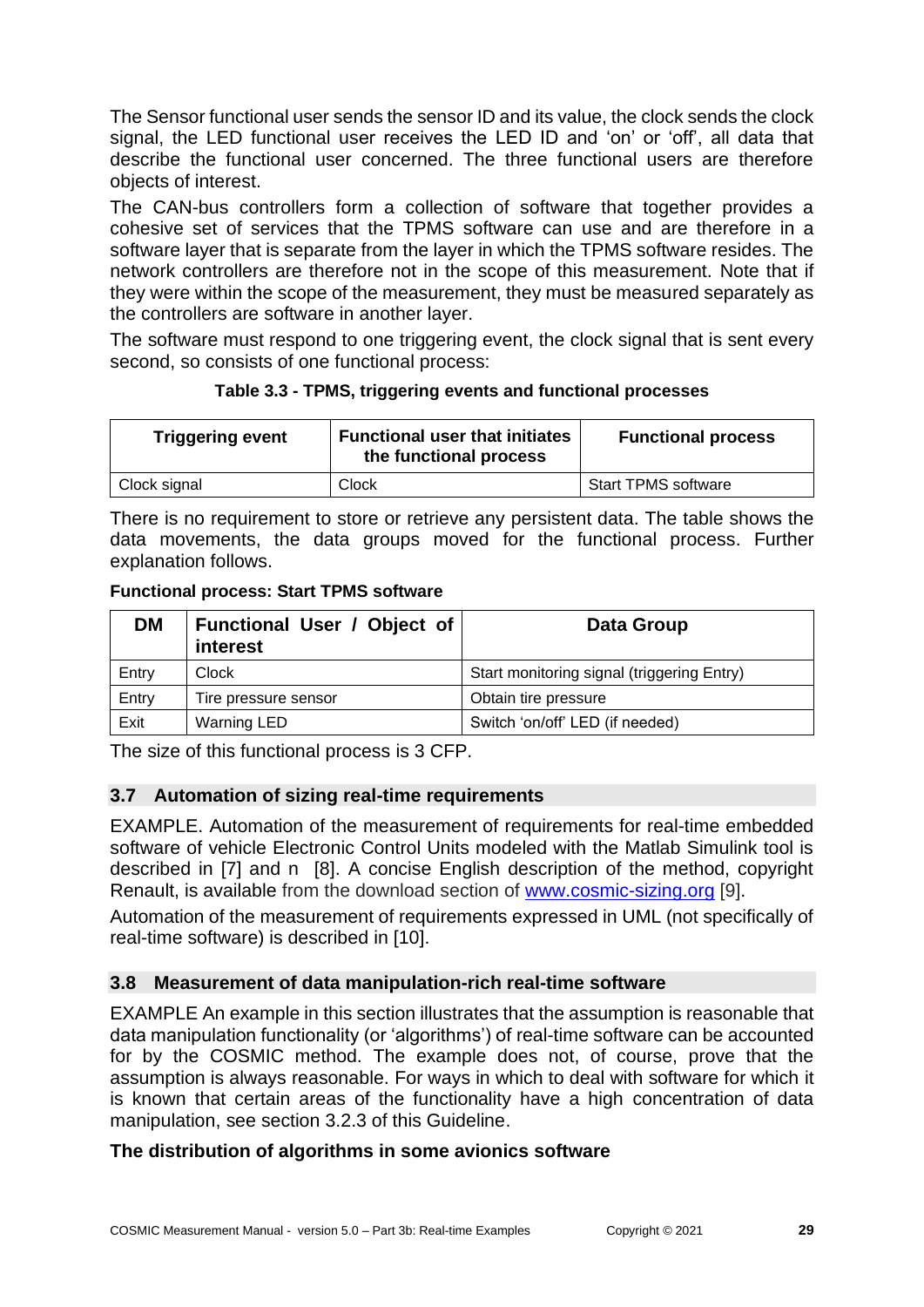The Sensor functional user sends the sensor ID and its value, the clock sends the clock signal, the LED functional user receives the LED ID and 'on' or 'off', all data that describe the functional user concerned. The three functional users are therefore objects of interest.

The CAN-bus controllers form a collection of software that together provides a cohesive set of services that the TPMS software can use and are therefore in a software layer that is separate from the layer in which the TPMS software resides. The network controllers are therefore not in the scope of this measurement. Note that if they were within the scope of the measurement, they must be measured separately as the controllers are software in another layer.

The software must respond to one triggering event, the clock signal that is sent every second, so consists of one functional process:

| Table 3.3 - TPMS, triggering events and functional processes |  |  |  |  |
|--------------------------------------------------------------|--|--|--|--|
|--------------------------------------------------------------|--|--|--|--|

| <b>Triggering event</b> | <b>Functional user that initiates</b><br>the functional process | <b>Functional process</b>  |
|-------------------------|-----------------------------------------------------------------|----------------------------|
| Clock signal            | Clock                                                           | <b>Start TPMS software</b> |

There is no requirement to store or retrieve any persistent data. The table shows the data movements, the data groups moved for the functional process. Further explanation follows.

**Functional process: Start TPMS software**

| <b>DM</b> | Functional User / Object of<br>interest | Data Group                                 |
|-----------|-----------------------------------------|--------------------------------------------|
| Entry     | Clock                                   | Start monitoring signal (triggering Entry) |
| Entry     | Tire pressure sensor                    | Obtain tire pressure                       |
| Exit      | <b>Warning LED</b>                      | Switch 'on/off' LED (if needed)            |

The size of this functional process is 3 CFP.

# <span id="page-28-0"></span>**3.7 Automation of sizing real-time requirements**

EXAMPLE. Automation of the measurement of requirements for real-time embedded software of vehicle Electronic Control Units modeled with the Matlab Simulink tool is described in [\[7\]](#page-30-1) and n [\[8\].](#page-30-2) A concise English description of the method, copyright Renault, is available from the download section of [www.cosmic-sizing.org](http://www.cosmic-sizing.org/) [\[9\].](#page-31-0)

Automation of the measurement of requirements expressed in UML (not specifically of real-time software) is described in [\[10\].](#page-31-1)

# <span id="page-28-1"></span>**3.8 Measurement of data manipulation-rich real-time software**

EXAMPLE An example in this section illustrates that the assumption is reasonable that data manipulation functionality (or 'algorithms') of real-time software can be accounted for by the COSMIC method. The example does not, of course, prove that the assumption is always reasonable. For ways in which to deal with software for which it is known that certain areas of the functionality have a high concentration of data manipulation, see section 3.2.3 of this Guideline.

# **The distribution of algorithms in some avionics software**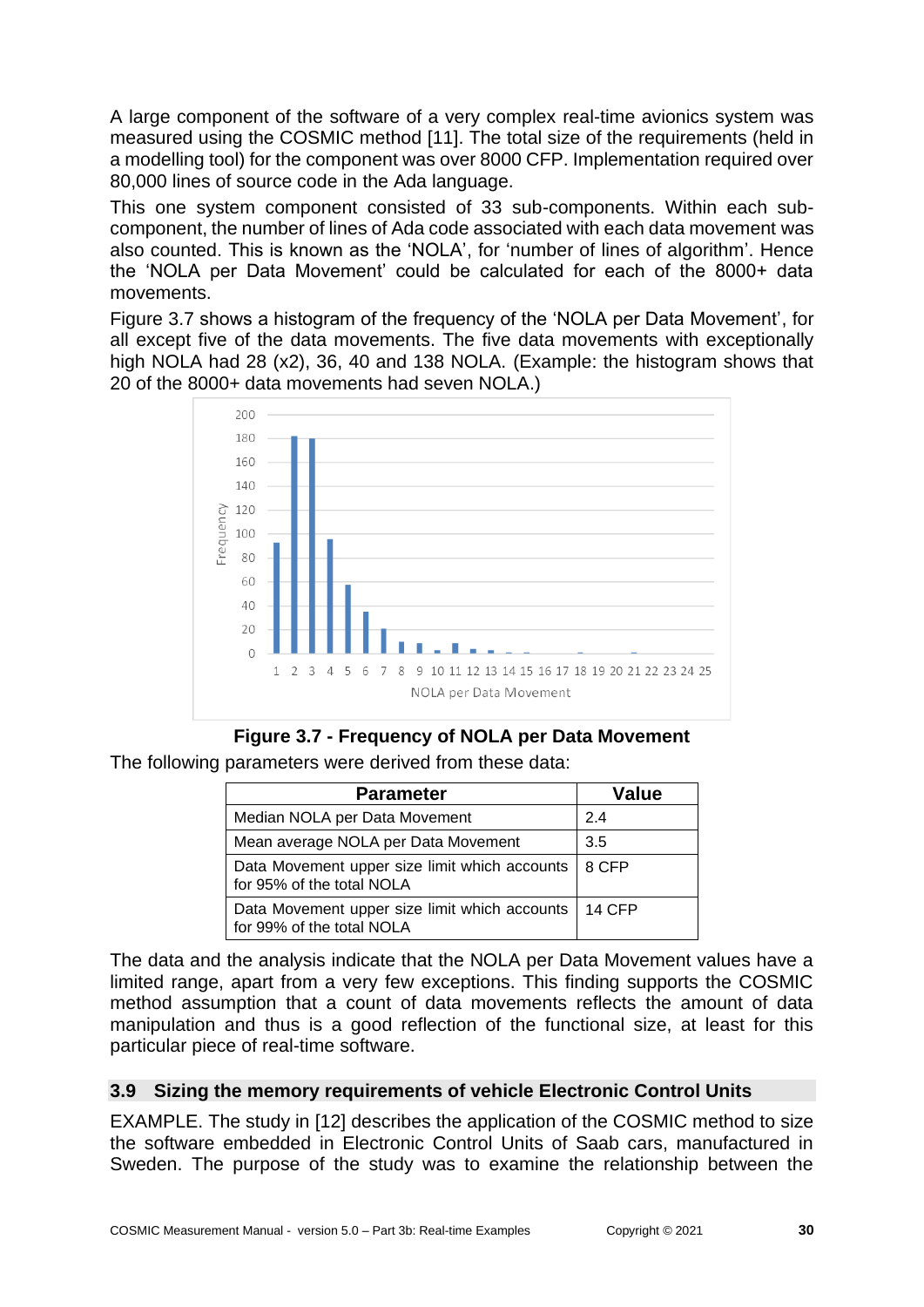A large component of the software of a very complex real-time avionics system was measured using the COSMIC method [\[11\].](#page-31-2) The total size of the requirements (held in a modelling tool) for the component was over 8000 CFP. Implementation required over 80,000 lines of source code in the Ada language.

This one system component consisted of 33 sub-components. Within each subcomponent, the number of lines of Ada code associated with each data movement was also counted. This is known as the 'NOLA', for 'number of lines of algorithm'. Hence the 'NOLA per Data Movement' could be calculated for each of the 8000+ data movements.

Figure 3.7 shows a histogram of the frequency of the 'NOLA per Data Movement', for all except five of the data movements. The five data movements with exceptionally high NOLA had 28 (x2), 36, 40 and 138 NOLA. (Example: the histogram shows that 20 of the 8000+ data movements had seven NOLA.)



**Figure 3.7 - Frequency of NOLA per Data Movement**

The following parameters were derived from these data:

| <b>Parameter</b>                                                             | Value  |
|------------------------------------------------------------------------------|--------|
| Median NOLA per Data Movement                                                | 2.4    |
| Mean average NOLA per Data Movement                                          | 3.5    |
| Data Movement upper size limit which accounts<br>for 95% of the total NOLA   | 8 CFP  |
| Data Movement upper size limit which accounts  <br>for 99% of the total NOLA | 14 CFP |

The data and the analysis indicate that the NOLA per Data Movement values have a limited range, apart from a very few exceptions. This finding supports the COSMIC method assumption that a count of data movements reflects the amount of data manipulation and thus is a good reflection of the functional size, at least for this particular piece of real-time software.

# <span id="page-29-0"></span>**3.9 Sizing the memory requirements of vehicle Electronic Control Units**

EXAMPLE. The study in [\[12\]](#page-31-3) describes the application of the COSMIC method to size the software embedded in Electronic Control Units of Saab cars, manufactured in Sweden. The purpose of the study was to examine the relationship between the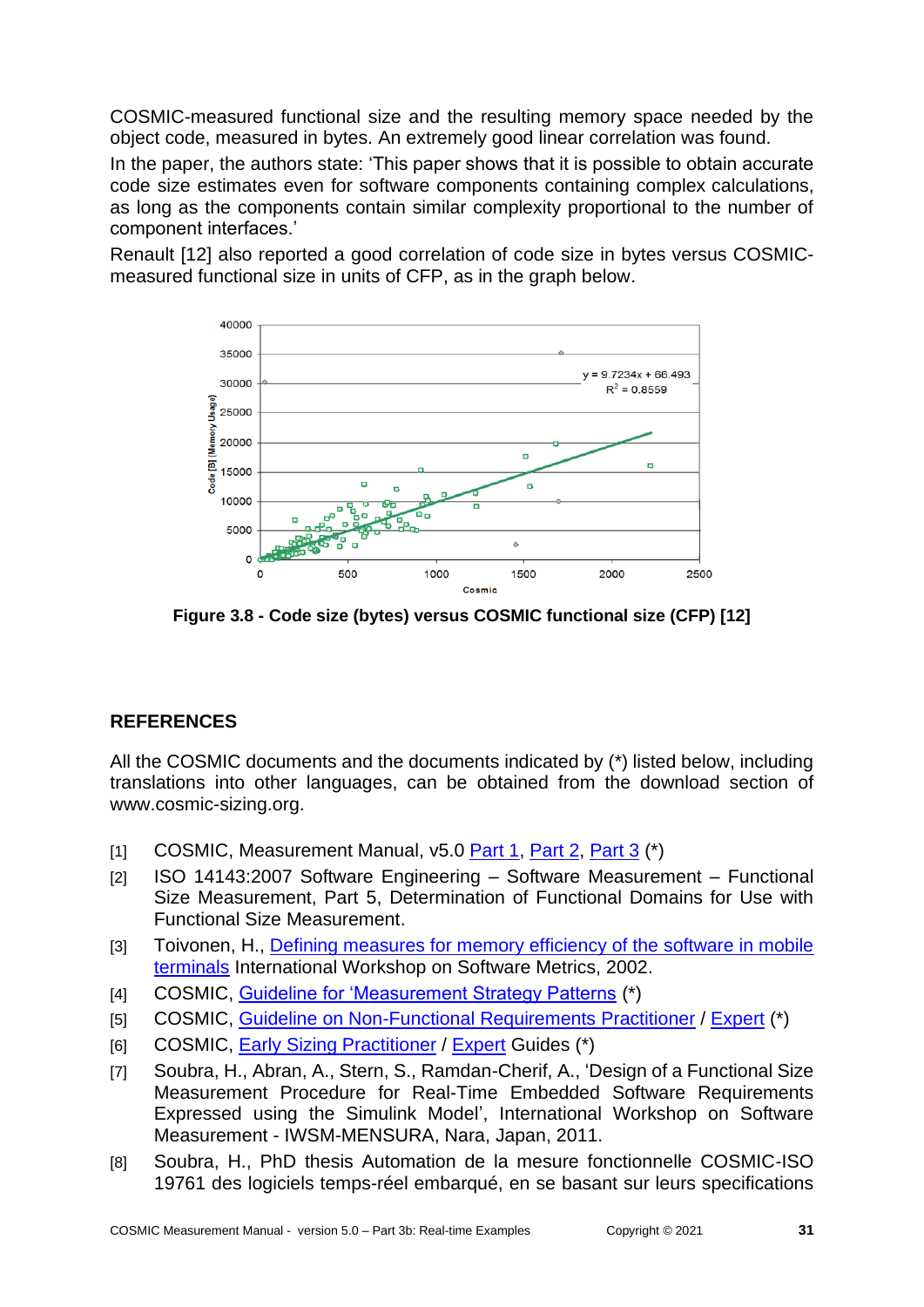COSMIC-measured functional size and the resulting memory space needed by the object code, measured in bytes. An extremely good linear correlation was found.

In the paper, the authors state: 'This paper shows that it is possible to obtain accurate code size estimates even for software components containing complex calculations, as long as the components contain similar complexity proportional to the number of component interfaces.'

Renault [\[12\]](#page-31-3) also reported a good correlation of code size in bytes versus COSMICmeasured functional size in units of CFP, as in the graph below.



**Figure 3.8 - Code size (bytes) versus COSMIC functional size (CFP) [\[12\]](#page-31-3)**

# <span id="page-30-0"></span>**REFERENCES**

All the COSMIC documents and the documents indicated by (\*) listed below, including translations into other languages, can be obtained from the download section of [www.cosmic-sizing.org.](http://www.cosmic-sizing.org/)

- [1] COSMIC, Measurement Manual, v5.0 [Part 1,](https://cosmic-sizing.org/publications/measurement-manual-v5-0-may-2020-part-1-principles-definitions-rules/) [Part 2,](https://cosmic-sizing.org/publications/measurement-manual-v5-0-may-2020-part-2-guidelines/) [Part 3](https://cosmic-sizing.org/publications/measurement-manual-v5-0-part-3-examples/) (\*)
- [2] ISO 14143:2007 Software Engineering Software Measurement Functional Size Measurement, Part 5, Determination of Functional Domains for Use with Functional Size Measurement.
- [3] Toivonen, H., Defining measures for memory efficiency of the software in mobile [terminals](https://cosmic-sizing.org/publications/defining-measures-for-memory-efficiency-of-the-software-in-mobile-terminals/) International Workshop on Software Metrics, 2002.
- [4] COSMIC, [Guideline for 'Measurement Strategy Patterns](https://cosmic-sizing.org/publications/guideline-for-measurement-strategy-patterns/) (\*)
- [5] COSMIC, [Guideline on Non-Functional Requirements](https://cosmic-sizing.org/publications/non-functional-requirements-and-cosmic-sizing-practitioners-guide/) Practitioner / [Expert](https://cosmic-sizing.org/publications/non-functional-project-requirements-with-cosmic-experts-guide/) (\*)
- [6] COSMIC, [Early Sizing Practitioner](https://cosmic-sizing.org/publications/early-software-sizing-with-cosmic-practitioners-guide/) / [Expert](https://cosmic-sizing.org/publications/early-software-sizing-with-cosmic-experts-guide/) Guides (\*)
- <span id="page-30-1"></span>[7] Soubra, H., Abran, A., Stern, S., Ramdan-Cherif, A., 'Design of a Functional Size Measurement Procedure for Real-Time Embedded Software Requirements Expressed using the Simulink Model', International Workshop on Software Measurement - IWSM-MENSURA, Nara, Japan, 2011.
- <span id="page-30-2"></span>[8] Soubra, H., PhD thesis Automation de la mesure fonctionnelle COSMIC-ISO 19761 des logiciels temps-réel embarqué, en se basant sur leurs specifications